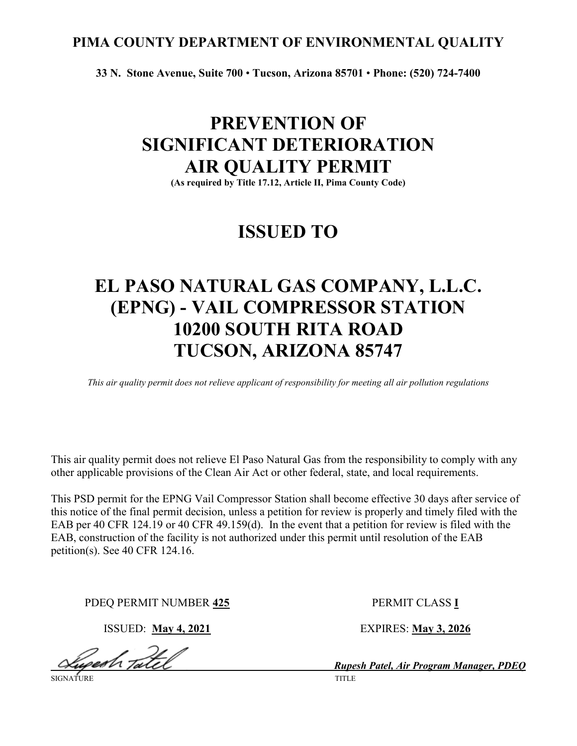# **PIMA COUNTY DEPARTMENT OF ENVIRONMENTAL QUALITY**

**33 N. Stone Avenue, Suite 700** • **Tucson, Arizona 85701** • **Phone: (520) 724-7400**

# **PREVENTION OF SIGNIFICANT DETERIORATION AIR QUALITY PERMIT**

**(As required by Title 17.12, Article II, Pima County Code)**

# **ISSUED TO**

# **EL PASO NATURAL GAS COMPANY, L.L.C. (EPNG) - VAIL COMPRESSOR STATION 10200 SOUTH RITA ROAD TUCSON, ARIZONA 85747**

*This air quality permit does not relieve applicant of responsibility for meeting all air pollution regulations*

This air quality permit does not relieve El Paso Natural Gas from the responsibility to comply with any other applicable provisions of the Clean Air Act or other federal, state, and local requirements.

This PSD permit for the EPNG Vail Compressor Station shall become effective 30 days after service of this notice of the final permit decision, unless a petition for review is properly and timely filed with the EAB per 40 CFR 124.19 or 40 CFR 49.159(d). In the event that a petition for review is filed with the EAB, construction of the facility is not authorized under this permit until resolution of the EAB petition(s). See 40 CFR 124.16.

PDEQ PERMIT NUMBER **425** PERMIT CLASS **I**

Gesh Tatel

ISSUED: **May 4, 2021** EXPIRES: **May 3, 2026**

*Rupesh Patel, Air Program Manager, PDEQ* SIGNATURE TITLE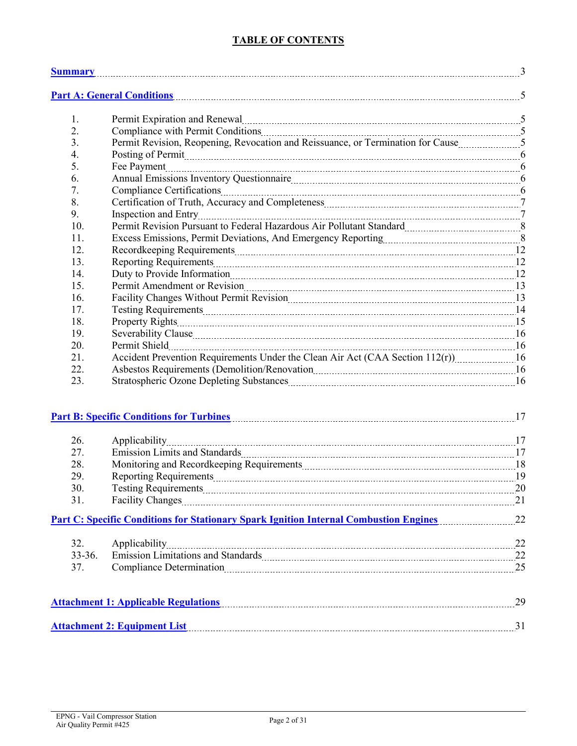# **TABLE OF CONTENTS**

|            | <b>Summary</b> 3                                                                                                                                                                                                               |  |
|------------|--------------------------------------------------------------------------------------------------------------------------------------------------------------------------------------------------------------------------------|--|
|            | Part A: General Conditions 5                                                                                                                                                                                                   |  |
| 1.         | Permit Expiration and Renewal material contracts and all properties and Renewal material contracts and all pro                                                                                                                 |  |
| 2.         |                                                                                                                                                                                                                                |  |
| 3.         | Permit Revision, Reopening, Revocation and Reissuance, or Termination for Cause5                                                                                                                                               |  |
| 4.         | Posting of Permit Material Communications and the contract of the contract of the contract of the contract of the contract of the contract of the contract of the contract of the contract of the contract of the contract of  |  |
| 5.         |                                                                                                                                                                                                                                |  |
| 6.         |                                                                                                                                                                                                                                |  |
| 7.         | Compliance Certifications [100] Compliance Certifications [100] Manuscrittis [100] Manuscrittis [100] Manuscrittis [100] Manuscrittis [100] Manuscrittis [100] Manuscrittis [100] Manuscrittis [100] Manuscrittis [100] Manusc |  |
| 8.         |                                                                                                                                                                                                                                |  |
| 9.         |                                                                                                                                                                                                                                |  |
| 10.        | Permit Revision Pursuant to Federal Hazardous Air Pollutant Standard [11, 1201] [8] 8                                                                                                                                          |  |
| 11.        | Excess Emissions, Permit Deviations, And Emergency Reporting [11, 2011] [12, 2016].                                                                                                                                            |  |
| 12.        |                                                                                                                                                                                                                                |  |
| 13.        |                                                                                                                                                                                                                                |  |
| 14.        |                                                                                                                                                                                                                                |  |
| 15.        |                                                                                                                                                                                                                                |  |
| 16.        | Facility Changes Without Permit Revision [11] [12] Tacility Changes Without Permit Revision [13] [13] Tacility Changes Without Permit Revision [13] Tacility Changes Without Permit Revision [13] Tacility Changes Without Per |  |
| 17.        |                                                                                                                                                                                                                                |  |
| 18.        |                                                                                                                                                                                                                                |  |
| 19.        |                                                                                                                                                                                                                                |  |
| 20.        |                                                                                                                                                                                                                                |  |
| 21.        | Accident Prevention Requirements Under the Clean Air Act (CAA Section 112(r)) 16                                                                                                                                               |  |
| 22.        | Asbestos Requirements (Demolition/Renovation material contracts and the 16                                                                                                                                                     |  |
| 23.        | Stratospheric Ozone Depleting Substances [16] The Stratospheric Ozone Depleting Substances [16] The Stratospheric Ozone Depleting Substances [16] The Stratospheric Ozone Depleting Substances [16] The Stratospheric Ozone De |  |
|            | <u>Part B: Specific Conditions for Turbines [17]</u>                                                                                                                                                                           |  |
| 26.        |                                                                                                                                                                                                                                |  |
| 27.        |                                                                                                                                                                                                                                |  |
| 28.        |                                                                                                                                                                                                                                |  |
| 29.        |                                                                                                                                                                                                                                |  |
| 30.        |                                                                                                                                                                                                                                |  |
| 31.        | Facility Changes 21                                                                                                                                                                                                            |  |
|            | Part C: Specific Conditions for Stationary Spark Ignition Internal Combustion Engines [101] 22                                                                                                                                 |  |
|            |                                                                                                                                                                                                                                |  |
| 32.        |                                                                                                                                                                                                                                |  |
| $33 - 36.$ |                                                                                                                                                                                                                                |  |
| 37.        | Compliance Determination 25                                                                                                                                                                                                    |  |
|            | Attachment 1: Applicable Regulations [19] 29                                                                                                                                                                                   |  |
|            | Attachment 2: Equipment List 31                                                                                                                                                                                                |  |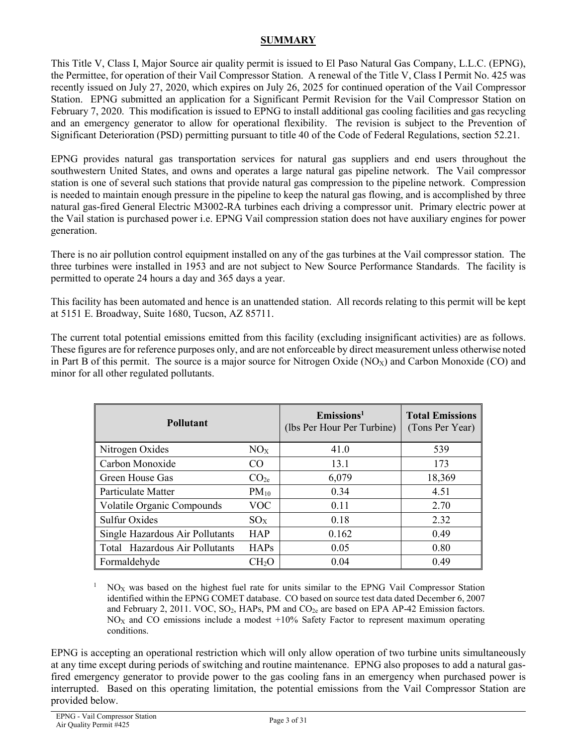### **SUMMARY**

<span id="page-2-0"></span>This Title V, Class I, Major Source air quality permit is issued to El Paso Natural Gas Company, L.L.C. (EPNG), the Permittee, for operation of their Vail Compressor Station. A renewal of the Title V, Class I Permit No. 425 was recently issued on July 27, 2020, which expires on July 26, 2025 for continued operation of the Vail Compressor Station. EPNG submitted an application for a Significant Permit Revision for the Vail Compressor Station on February 7, 2020. This modification is issued to EPNG to install additional gas cooling facilities and gas recycling and an emergency generator to allow for operational flexibility. The revision is subject to the Prevention of Significant Deterioration (PSD) permitting pursuant to title 40 of the Code of Federal Regulations, section 52.21.

EPNG provides natural gas transportation services for natural gas suppliers and end users throughout the southwestern United States, and owns and operates a large natural gas pipeline network. The Vail compressor station is one of several such stations that provide natural gas compression to the pipeline network. Compression is needed to maintain enough pressure in the pipeline to keep the natural gas flowing, and is accomplished by three natural gas-fired General Electric M3002-RA turbines each driving a compressor unit. Primary electric power at the Vail station is purchased power i.e. EPNG Vail compression station does not have auxiliary engines for power generation.

There is no air pollution control equipment installed on any of the gas turbines at the Vail compressor station. The three turbines were installed in 1953 and are not subject to New Source Performance Standards. The facility is permitted to operate 24 hours a day and 365 days a year.

This facility has been automated and hence is an unattended station. All records relating to this permit will be kept at 5151 E. Broadway, Suite 1680, Tucson, AZ 85711.

The current total potential emissions emitted from this facility (excluding insignificant activities) are as follows. These figures are for reference purposes only, and are not enforceable by direct measurement unless otherwise noted in Part B of this permit. The source is a major source for Nitrogen Oxide  $(NO<sub>X</sub>)$  and Carbon Monoxide  $(CO)$  and minor for all other regulated pollutants.

| <b>Pollutant</b>                  |                  | $E$ missions <sup>1</sup><br>(lbs Per Hour Per Turbine) | <b>Total Emissions</b><br>(Tons Per Year) |  |  |
|-----------------------------------|------------------|---------------------------------------------------------|-------------------------------------------|--|--|
| Nitrogen Oxides                   | NO <sub>X</sub>  | 41.0                                                    | 539                                       |  |  |
| Carbon Monoxide                   | CO <sub>1</sub>  | 13.1                                                    | 173                                       |  |  |
| Green House Gas                   | CO <sub>2e</sub> | 6,079                                                   | 18,369                                    |  |  |
| Particulate Matter                | $PM_{10}$        | 0.34                                                    | 4.51                                      |  |  |
| Volatile Organic Compounds        | <b>VOC</b>       | 0.11                                                    | 2.70                                      |  |  |
| <b>Sulfur Oxides</b>              | $SO_{X}$         | 0.18                                                    | 2.32                                      |  |  |
| Single Hazardous Air Pollutants   | <b>HAP</b>       | 0.162                                                   | 0.49                                      |  |  |
| Total Hazardous Air Pollutants    | HAPs             | 0.05                                                    | 0.80                                      |  |  |
| Formaldehyde<br>CH <sub>2</sub> O |                  | 0.04                                                    | 0.49                                      |  |  |

<sup>1</sup> NO<sub>X</sub> was based on the highest fuel rate for units similar to the EPNG Vail Compressor Station identified within the EPNG COMET database. CO based on source test data dated December 6, 2007 and February 2, 2011. VOC,  $SO_2$ , HAPs, PM and  $CO_{2g}$  are based on EPA AP-42 Emission factors.  $NO<sub>X</sub>$  and CO emissions include a modest  $+10\%$  Safety Factor to represent maximum operating conditions.

EPNG is accepting an operational restriction which will only allow operation of two turbine units simultaneously at any time except during periods of switching and routine maintenance. EPNG also proposes to add a natural gasfired emergency generator to provide power to the gas cooling fans in an emergency when purchased power is interrupted. Based on this operating limitation, the potential emissions from the Vail Compressor Station are provided below.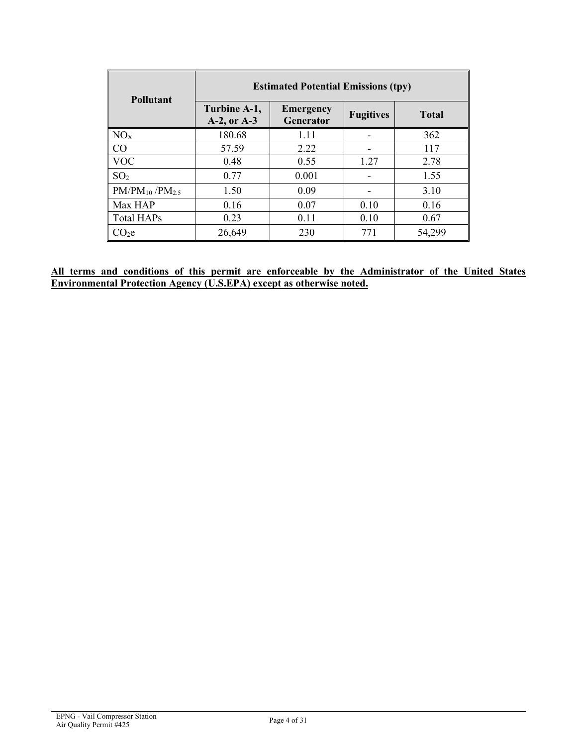| <b>Pollutant</b>                | <b>Estimated Potential Emissions (tpy)</b> |                                      |                  |              |  |  |
|---------------------------------|--------------------------------------------|--------------------------------------|------------------|--------------|--|--|
|                                 | Turbine A-1,<br>A-2, or A-3                | <b>Emergency</b><br><b>Generator</b> | <b>Fugitives</b> | <b>Total</b> |  |  |
| NO <sub>X</sub>                 | 180.68                                     | 1.11                                 |                  | 362          |  |  |
| CO                              | 57.59                                      | 2.22                                 |                  | 117          |  |  |
| <b>VOC</b>                      | 0.48                                       | 0.55                                 | 1.27             | 2.78         |  |  |
| SO <sub>2</sub>                 | 0.77                                       | 0.001                                |                  | 1.55         |  |  |
| $PM/PM_{10}$ /PM <sub>2.5</sub> | 1.50                                       | 0.09                                 |                  | 3.10         |  |  |
| Max HAP                         | 0.16                                       | 0.07                                 | 0.10             | 0.16         |  |  |
| <b>Total HAPs</b>               | 0.23                                       | 0.11                                 | 0.10             | 0.67         |  |  |
| CO <sub>2</sub> e               | 26,649                                     | 230                                  | 771              | 54,299       |  |  |

**All terms and conditions of this permit are enforceable by the Administrator of the United States Environmental Protection Agency (U.S.EPA) except as otherwise noted.**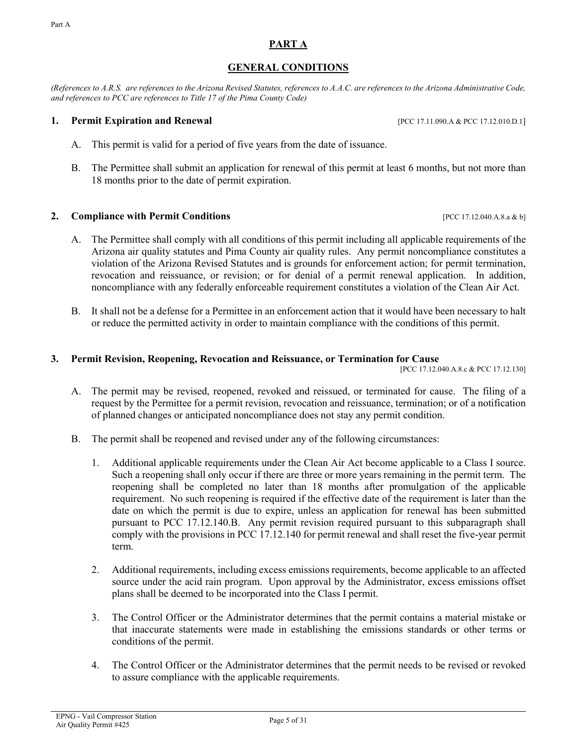#### EPNG - Vail Compressor Station EFING - Van Compressor Station<br>Air Quality Permit #425

# **GENERAL CONDITIONS**

<span id="page-4-0"></span>*(References to A.R.S. are references to the Arizona Revised Statutes, references to A.A.C. are references to the Arizona Administrative Code, and references to PCC are references to Title 17 of the Pima County Code)*

#### **1. Permit Expiration and Renewal** [PCC 17.11.090.A & PCC 17.12.010.D.1]

- A. This permit is valid for a period of five years from the date of issuance.
- B. The Permittee shall submit an application for renewal of this permit at least 6 months, but not more than 18 months prior to the date of permit expiration.

### **2. Compliance with Permit Conditions 12.12.040.A.8.a** & b]

- A. The Permittee shall comply with all conditions of this permit including all applicable requirements of the Arizona air quality statutes and Pima County air quality rules. Any permit noncompliance constitutes a violation of the Arizona Revised Statutes and is grounds for enforcement action; for permit termination, revocation and reissuance, or revision; or for denial of a permit renewal application. In addition, noncompliance with any federally enforceable requirement constitutes a violation of the Clean Air Act.
- B. It shall not be a defense for a Permittee in an enforcement action that it would have been necessary to halt or reduce the permitted activity in order to maintain compliance with the conditions of this permit.

#### **3. Permit Revision, Reopening, Revocation and Reissuance, or Termination for Cause**

[PCC 17.12.040.A.8.c & PCC 17.12.130]

- A. The permit may be revised, reopened, revoked and reissued, or terminated for cause. The filing of a request by the Permittee for a permit revision, revocation and reissuance, termination; or of a notification of planned changes or anticipated noncompliance does not stay any permit condition.
- B. The permit shall be reopened and revised under any of the following circumstances:
	- 1. Additional applicable requirements under the Clean Air Act become applicable to a Class I source. Such a reopening shall only occur if there are three or more years remaining in the permit term. The reopening shall be completed no later than 18 months after promulgation of the applicable requirement. No such reopening is required if the effective date of the requirement is later than the date on which the permit is due to expire, unless an application for renewal has been submitted pursuant to PCC 17.12.140.B. Any permit revision required pursuant to this subparagraph shall comply with the provisions in PCC 17.12.140 for permit renewal and shall reset the five-year permit term.
	- 2. Additional requirements, including excess emissions requirements, become applicable to an affected source under the acid rain program. Upon approval by the Administrator, excess emissions offset plans shall be deemed to be incorporated into the Class I permit.
	- 3. The Control Officer or the Administrator determines that the permit contains a material mistake or that inaccurate statements were made in establishing the emissions standards or other terms or conditions of the permit.
	- 4. The Control Officer or the Administrator determines that the permit needs to be revised or revoked to assure compliance with the applicable requirements.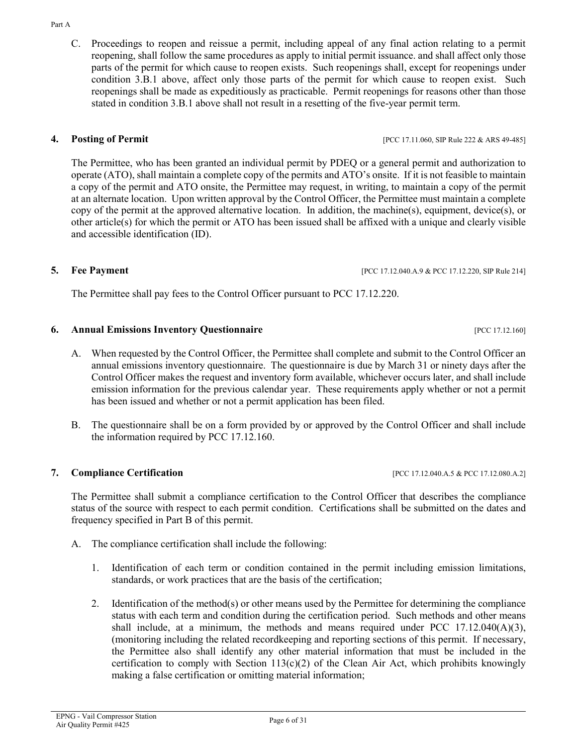C. Proceedings to reopen and reissue a permit, including appeal of any final action relating to a permit reopening, shall follow the same procedures as apply to initial permit issuance. and shall affect only those parts of the permit for which cause to reopen exists. Such reopenings shall, except for reopenings under condition 3.B.1 above, affect only those parts of the permit for which cause to reopen exist. Such reopenings shall be made as expeditiously as practicable. Permit reopenings for reasons other than those stated in condition 3.B.1 above shall not result in a resetting of the five-year permit term.

### **4. Posting of Permit 18. <b>Posting of Permit 18. POSTIPLE 222 & ARS 49-485**

The Permittee, who has been granted an individual permit by PDEQ or a general permit and authorization to operate (ATO), shall maintain a complete copy of the permits and ATO's onsite. If it is not feasible to maintain a copy of the permit and ATO onsite, the Permittee may request, in writing, to maintain a copy of the permit at an alternate location. Upon written approval by the Control Officer, the Permittee must maintain a complete copy of the permit at the approved alternative location. In addition, the machine(s), equipment, device(s), or other article(s) for which the permit or ATO has been issued shall be affixed with a unique and clearly visible and accessible identification (ID).

The Permittee shall pay fees to the Control Officer pursuant to PCC 17.12.220.

# **6. Annual Emissions Inventory Questionnaire contract the contract of the contract of the contract of the contract of the contract of the contract of the contract of the contract of the contract of the contract of the**

- A. When requested by the Control Officer, the Permittee shall complete and submit to the Control Officer an annual emissions inventory questionnaire. The questionnaire is due by March 31 or ninety days after the Control Officer makes the request and inventory form available, whichever occurs later, and shall include emission information for the previous calendar year. These requirements apply whether or not a permit has been issued and whether or not a permit application has been filed.
- B. The questionnaire shall be on a form provided by or approved by the Control Officer and shall include the information required by PCC 17.12.160.

### **7. Compliance Certification** [PCC 17.12.040.A.5 & PCC 17.12.080.A.2]

The Permittee shall submit a compliance certification to the Control Officer that describes the compliance status of the source with respect to each permit condition. Certifications shall be submitted on the dates and frequency specified in Part B of this permit.

- A. The compliance certification shall include the following:
	- 1. Identification of each term or condition contained in the permit including emission limitations, standards, or work practices that are the basis of the certification;
	- 2. Identification of the method(s) or other means used by the Permittee for determining the compliance status with each term and condition during the certification period. Such methods and other means shall include, at a minimum, the methods and means required under PCC  $17.12.040(A)(3)$ , (monitoring including the related recordkeeping and reporting sections of this permit. If necessary, the Permittee also shall identify any other material information that must be included in the certification to comply with Section  $113(c)(2)$  of the Clean Air Act, which prohibits knowingly making a false certification or omitting material information;

**5. Fee Payment** [PCC 17.12.040.A.9 & PCC 17.12.220, SIP Rule 214]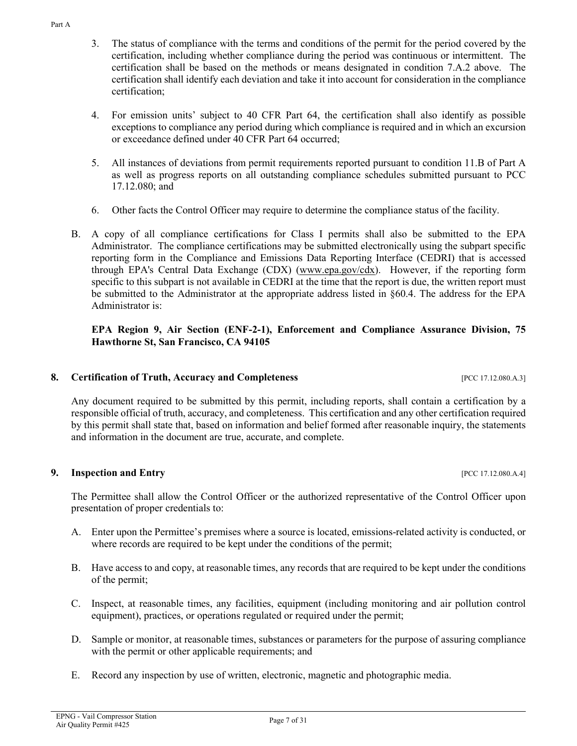Part A

- 3. The status of compliance with the terms and conditions of the permit for the period covered by the certification, including whether compliance during the period was continuous or intermittent. The certification shall be based on the methods or means designated in condition 7.A.2 above. The certification shall identify each deviation and take it into account for consideration in the compliance certification;
- 4. For emission units' subject to 40 CFR Part 64, the certification shall also identify as possible exceptions to compliance any period during which compliance is required and in which an excursion or exceedance defined under 40 CFR Part 64 occurred;
- 5. All instances of deviations from permit requirements reported pursuant to condition 11.B of Part A as well as progress reports on all outstanding compliance schedules submitted pursuant to PCC 17.12.080; and
- 6. Other facts the Control Officer may require to determine the compliance status of the facility.
- B. A copy of all compliance certifications for Class I permits shall also be submitted to the EPA Administrator. The compliance certifications may be submitted electronically using the subpart specific reporting form in the Compliance and Emissions Data Reporting Interface (CEDRI) that is accessed through EPA's Central Data Exchange (CDX) [\(www.epa.gov/cdx\)](http://www.epa.gov/cdx). However, if the reporting form specific to this subpart is not available in CEDRI at the time that the report is due, the written report must be submitted to the Administrator at the appropriate address listed in §60.4. The address for the EPA Administrator is:

#### **EPA Region 9, Air Section (ENF-2-1), Enforcement and Compliance Assurance Division, 75 Hawthorne St, San Francisco, CA 94105**

### **8. Certification of Truth, Accuracy and Completeness** [PCC 17.12.080.A.3]

Any document required to be submitted by this permit, including reports, shall contain a certification by a responsible official of truth, accuracy, and completeness. This certification and any other certification required by this permit shall state that, based on information and belief formed after reasonable inquiry, the statements and information in the document are true, accurate, and complete.

#### **9.** Inspection and Entry **EXECUTE 2008** [PCC 17.12.080.A.4]

The Permittee shall allow the Control Officer or the authorized representative of the Control Officer upon presentation of proper credentials to:

- A. Enter upon the Permittee's premises where a source is located, emissions-related activity is conducted, or where records are required to be kept under the conditions of the permit;
- B. Have access to and copy, at reasonable times, any records that are required to be kept under the conditions of the permit;
- C. Inspect, at reasonable times, any facilities, equipment (including monitoring and air pollution control equipment), practices, or operations regulated or required under the permit;
- D. Sample or monitor, at reasonable times, substances or parameters for the purpose of assuring compliance with the permit or other applicable requirements; and
- E. Record any inspection by use of written, electronic, magnetic and photographic media.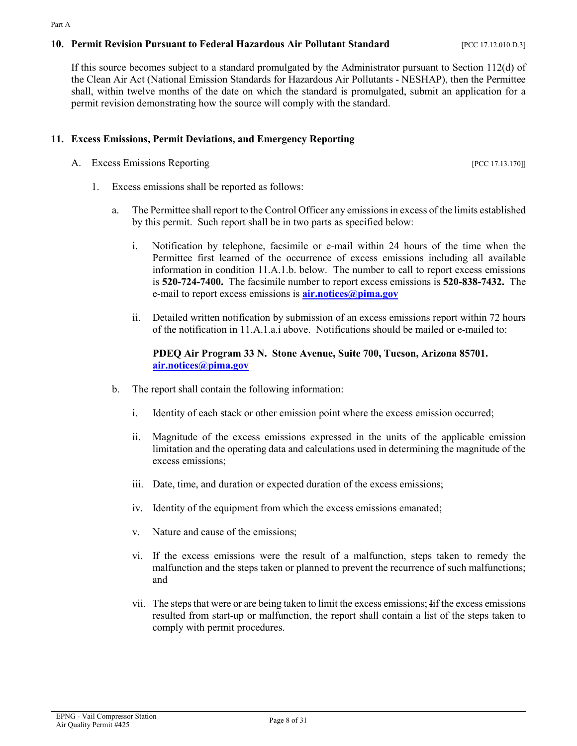#### **10. Permit Revision Pursuant to Federal Hazardous Air Pollutant Standard** [PCC 17.12.010.D.3]

If this source becomes subject to a standard promulgated by the Administrator pursuant to Section 112(d) of the Clean Air Act (National Emission Standards for Hazardous Air Pollutants - NESHAP), then the Permittee shall, within twelve months of the date on which the standard is promulgated, submit an application for a permit revision demonstrating how the source will comply with the standard.

### **11. Excess Emissions, Permit Deviations, and Emergency Reporting**

- A. Excess Emissions Reporting  $[PC 17.13.170]$ 
	- 1. Excess emissions shall be reported as follows:
		- a. The Permittee shall report to the Control Officer any emissions in excess of the limits established by this permit. Such report shall be in two parts as specified below:
			- i. Notification by telephone, facsimile or e-mail within 24 hours of the time when the Permittee first learned of the occurrence of excess emissions including all available information in condition 11.A.1.b. below. The number to call to report excess emissions is **520-724-7400.** The facsimile number to report excess emissions is **520-838-7432.** The e-mail to report excess emissions is **[air.notices@pima.gov](mailto:air.notices@pima.gov)**
			- ii. Detailed written notification by submission of an excess emissions report within 72 hours of the notification in 11.A.1.a.i above. Notifications should be mailed or e-mailed to:

#### **PDEQ Air Program 33 N. Stone Avenue, Suite 700, Tucson, Arizona 85701. [air.notices@pima.gov](mailto:air.notices@pima.gov)**

- b. The report shall contain the following information:
	- i. Identity of each stack or other emission point where the excess emission occurred;
	- ii. Magnitude of the excess emissions expressed in the units of the applicable emission limitation and the operating data and calculations used in determining the magnitude of the excess emissions;
	- iii. Date, time, and duration or expected duration of the excess emissions;
	- iv. Identity of the equipment from which the excess emissions emanated;
	- v. Nature and cause of the emissions;
	- vi. If the excess emissions were the result of a malfunction, steps taken to remedy the malfunction and the steps taken or planned to prevent the recurrence of such malfunctions; and
	- vii. The steps that were or are being taken to limit the excess emissions; Iif the excess emissions resulted from start-up or malfunction, the report shall contain a list of the steps taken to comply with permit procedures.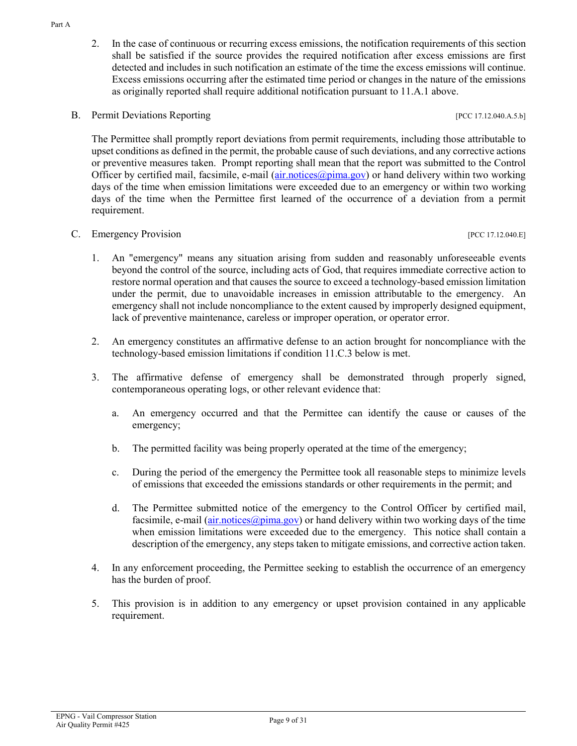- 2. In the case of continuous or recurring excess emissions, the notification requirements of this section shall be satisfied if the source provides the required notification after excess emissions are first detected and includes in such notification an estimate of the time the excess emissions will continue. Excess emissions occurring after the estimated time period or changes in the nature of the emissions as originally reported shall require additional notification pursuant to 11.A.1 above.
- B. Permit Deviations Reporting  $[PC 17.12.040.A.5.b]$

The Permittee shall promptly report deviations from permit requirements, including those attributable to upset conditions as defined in the permit, the probable cause of such deviations, and any corrective actions or preventive measures taken. Prompt reporting shall mean that the report was submitted to the Control Officer by certified mail, facsimile, e-mail [\(air.notices@pima.gov\)](mailto:air.notices@pima.gov) or hand delivery within two working days of the time when emission limitations were exceeded due to an emergency or within two working days of the time when the Permittee first learned of the occurrence of a deviation from a permit requirement.

#### C. Emergency Provision [PCC 17.12.040.E]

- 
- 1. An "emergency" means any situation arising from sudden and reasonably unforeseeable events beyond the control of the source, including acts of God, that requires immediate corrective action to restore normal operation and that causes the source to exceed a technology-based emission limitation under the permit, due to unavoidable increases in emission attributable to the emergency. An emergency shall not include noncompliance to the extent caused by improperly designed equipment, lack of preventive maintenance, careless or improper operation, or operator error.
- 2. An emergency constitutes an affirmative defense to an action brought for noncompliance with the technology-based emission limitations if condition 11.C.3 below is met.
- 3. The affirmative defense of emergency shall be demonstrated through properly signed, contemporaneous operating logs, or other relevant evidence that:
	- a. An emergency occurred and that the Permittee can identify the cause or causes of the emergency;
	- b. The permitted facility was being properly operated at the time of the emergency;
	- c. During the period of the emergency the Permittee took all reasonable steps to minimize levels of emissions that exceeded the emissions standards or other requirements in the permit; and
	- d. The Permittee submitted notice of the emergency to the Control Officer by certified mail, facsimile, e-mail [\(air.notices@pima.gov\)](mailto:air.notices@pima.gov) or hand delivery within two working days of the time when emission limitations were exceeded due to the emergency. This notice shall contain a description of the emergency, any steps taken to mitigate emissions, and corrective action taken.
- 4. In any enforcement proceeding, the Permittee seeking to establish the occurrence of an emergency has the burden of proof.
- 5. This provision is in addition to any emergency or upset provision contained in any applicable requirement.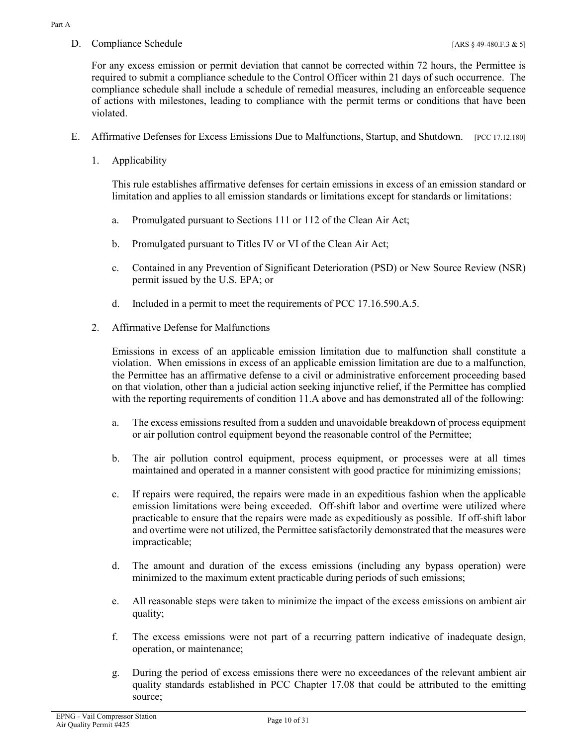D. Compliance Schedule [ARS § 49-480.F.3 & 5]

For any excess emission or permit deviation that cannot be corrected within 72 hours, the Permittee is required to submit a compliance schedule to the Control Officer within 21 days of such occurrence. The compliance schedule shall include a schedule of remedial measures, including an enforceable sequence of actions with milestones, leading to compliance with the permit terms or conditions that have been violated.

- E. Affirmative Defenses for Excess Emissions Due to Malfunctions, Startup, and Shutdown. [PCC 17.12.180]
	- 1. Applicability

This rule establishes affirmative defenses for certain emissions in excess of an emission standard or limitation and applies to all emission standards or limitations except for standards or limitations:

- a. Promulgated pursuant to Sections 111 or 112 of the Clean Air Act;
- b. Promulgated pursuant to Titles IV or VI of the Clean Air Act;
- c. Contained in any Prevention of Significant Deterioration (PSD) or New Source Review (NSR) permit issued by the U.S. EPA; or
- d. Included in a permit to meet the requirements of PCC 17.16.590.A.5.
- 2. Affirmative Defense for Malfunctions

Emissions in excess of an applicable emission limitation due to malfunction shall constitute a violation. When emissions in excess of an applicable emission limitation are due to a malfunction, the Permittee has an affirmative defense to a civil or administrative enforcement proceeding based on that violation, other than a judicial action seeking injunctive relief, if the Permittee has complied with the reporting requirements of condition 11.A above and has demonstrated all of the following:

- a. The excess emissions resulted from a sudden and unavoidable breakdown of process equipment or air pollution control equipment beyond the reasonable control of the Permittee;
- b. The air pollution control equipment, process equipment, or processes were at all times maintained and operated in a manner consistent with good practice for minimizing emissions;
- c. If repairs were required, the repairs were made in an expeditious fashion when the applicable emission limitations were being exceeded. Off-shift labor and overtime were utilized where practicable to ensure that the repairs were made as expeditiously as possible. If off-shift labor and overtime were not utilized, the Permittee satisfactorily demonstrated that the measures were impracticable;
- d. The amount and duration of the excess emissions (including any bypass operation) were minimized to the maximum extent practicable during periods of such emissions;
- e. All reasonable steps were taken to minimize the impact of the excess emissions on ambient air quality;
- f. The excess emissions were not part of a recurring pattern indicative of inadequate design, operation, or maintenance;
- g. During the period of excess emissions there were no exceedances of the relevant ambient air quality standards established in PCC Chapter 17.08 that could be attributed to the emitting source;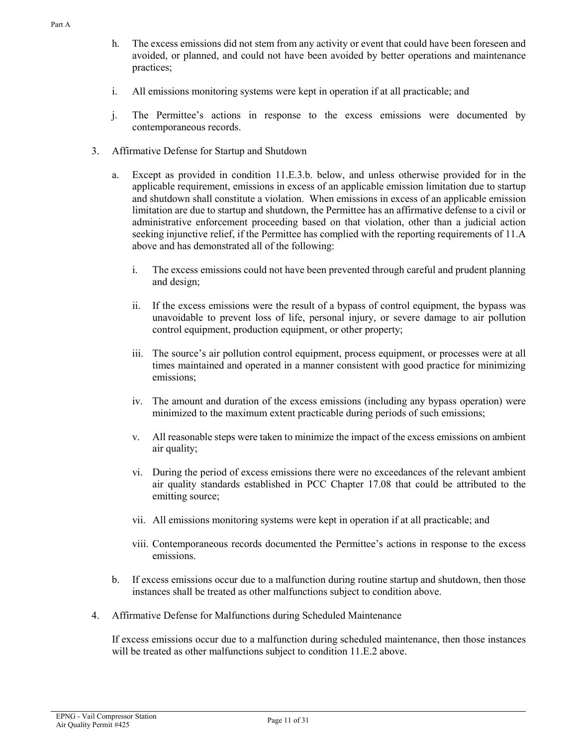- h. The excess emissions did not stem from any activity or event that could have been foreseen and avoided, or planned, and could not have been avoided by better operations and maintenance practices;
- i. All emissions monitoring systems were kept in operation if at all practicable; and
- j. The Permittee's actions in response to the excess emissions were documented by contemporaneous records.
- 3. Affirmative Defense for Startup and Shutdown
	- a. Except as provided in condition 11.E.3.b. below, and unless otherwise provided for in the applicable requirement, emissions in excess of an applicable emission limitation due to startup and shutdown shall constitute a violation. When emissions in excess of an applicable emission limitation are due to startup and shutdown, the Permittee has an affirmative defense to a civil or administrative enforcement proceeding based on that violation, other than a judicial action seeking injunctive relief, if the Permittee has complied with the reporting requirements of 11.A above and has demonstrated all of the following:
		- i. The excess emissions could not have been prevented through careful and prudent planning and design;
		- ii. If the excess emissions were the result of a bypass of control equipment, the bypass was unavoidable to prevent loss of life, personal injury, or severe damage to air pollution control equipment, production equipment, or other property;
		- iii. The source's air pollution control equipment, process equipment, or processes were at all times maintained and operated in a manner consistent with good practice for minimizing emissions;
		- iv. The amount and duration of the excess emissions (including any bypass operation) were minimized to the maximum extent practicable during periods of such emissions;
		- v. All reasonable steps were taken to minimize the impact of the excess emissions on ambient air quality;
		- vi. During the period of excess emissions there were no exceedances of the relevant ambient air quality standards established in PCC Chapter 17.08 that could be attributed to the emitting source;
		- vii. All emissions monitoring systems were kept in operation if at all practicable; and
		- viii. Contemporaneous records documented the Permittee's actions in response to the excess emissions.
	- b. If excess emissions occur due to a malfunction during routine startup and shutdown, then those instances shall be treated as other malfunctions subject to condition above.
- 4. Affirmative Defense for Malfunctions during Scheduled Maintenance

If excess emissions occur due to a malfunction during scheduled maintenance, then those instances will be treated as other malfunctions subject to condition 11.E.2 above.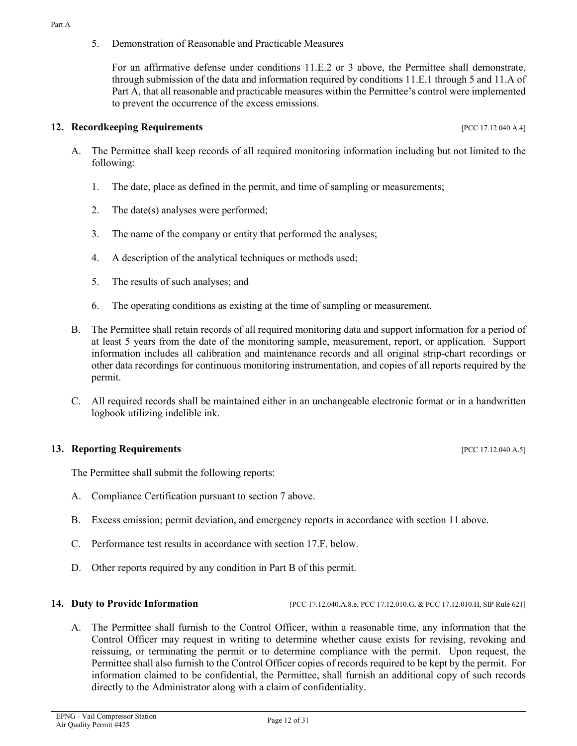5. Demonstration of Reasonable and Practicable Measures

For an affirmative defense under conditions 11.E.2 or 3 above, the Permittee shall demonstrate, through submission of the data and information required by conditions 11.E.1 through 5 and 11.A of Part A, that all reasonable and practicable measures within the Permittee's control were implemented to prevent the occurrence of the excess emissions.

#### **12. Recordkeeping Requirements 12. Properties [PCC 17.12.040.A.4]**

- A. The Permittee shall keep records of all required monitoring information including but not limited to the following:
	- 1. The date, place as defined in the permit, and time of sampling or measurements;
	- 2. The date(s) analyses were performed;
	- 3. The name of the company or entity that performed the analyses;
	- 4. A description of the analytical techniques or methods used;
	- 5. The results of such analyses; and
	- 6. The operating conditions as existing at the time of sampling or measurement.
- B. The Permittee shall retain records of all required monitoring data and support information for a period of at least 5 years from the date of the monitoring sample, measurement, report, or application. Support information includes all calibration and maintenance records and all original strip-chart recordings or other data recordings for continuous monitoring instrumentation, and copies of all reports required by the permit.
- C. All required records shall be maintained either in an unchangeable electronic format or in a handwritten logbook utilizing indelible ink.

#### **13. Reporting Requirements 13. Proporting Requirements 13. Proporting Requirements**

The Permittee shall submit the following reports:

- A. Compliance Certification pursuant to section 7 above.
- B. Excess emission; permit deviation, and emergency reports in accordance with section 11 above.
- C. Performance test results in accordance with section 17.F. below.
- D. Other reports required by any condition in Part B of this permit.

**14. Duty to Provide Information** [PCC 17.12.040.A.8.e, PCC 17.12.010.G, & PCC 17.12.010.H, SIP Rule 621]

A. The Permittee shall furnish to the Control Officer, within a reasonable time, any information that the Control Officer may request in writing to determine whether cause exists for revising, revoking and reissuing, or terminating the permit or to determine compliance with the permit. Upon request, the Permittee shall also furnish to the Control Officer copies of records required to be kept by the permit. For information claimed to be confidential, the Permittee, shall furnish an additional copy of such records directly to the Administrator along with a claim of confidentiality.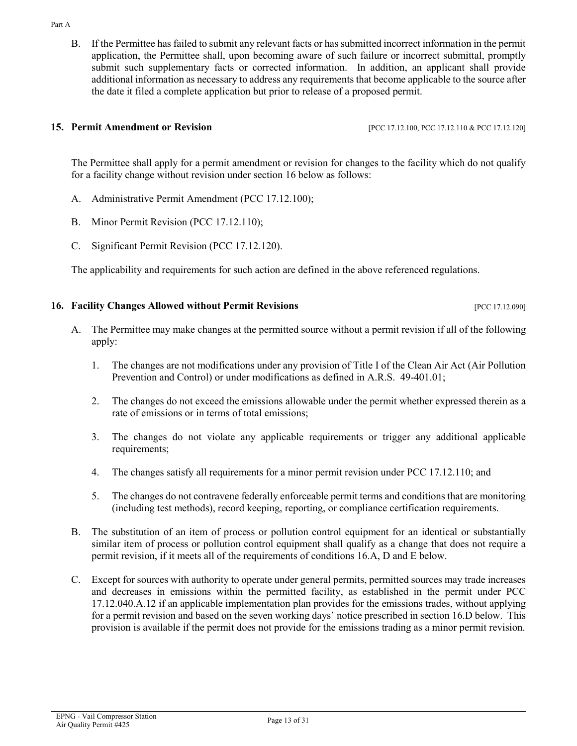#### Part A

B. If the Permittee has failed to submit any relevant facts or has submitted incorrect information in the permit application, the Permittee shall, upon becoming aware of such failure or incorrect submittal, promptly submit such supplementary facts or corrected information. In addition, an applicant shall provide additional information as necessary to address any requirements that become applicable to the source after the date it filed a complete application but prior to release of a proposed permit.

#### **15. Permit Amendment or Revision** [PCC 17.12.100, PCC 17.12.110 & PCC 17.12.120]

The Permittee shall apply for a permit amendment or revision for changes to the facility which do not qualify for a facility change without revision under section 16 below as follows:

- A. Administrative Permit Amendment (PCC 17.12.100);
- B. Minor Permit Revision (PCC 17.12.110);
- C. Significant Permit Revision (PCC 17.12.120).

The applicability and requirements for such action are defined in the above referenced regulations.

# **16. Facility Changes Allowed without Permit Revisions Example 20 and Security Changes Allowed without Permit Revisions**

- A. The Permittee may make changes at the permitted source without a permit revision if all of the following apply:
	- 1. The changes are not modifications under any provision of Title I of the Clean Air Act (Air Pollution Prevention and Control) or under modifications as defined in A.R.S. 49-401.01;
	- 2. The changes do not exceed the emissions allowable under the permit whether expressed therein as a rate of emissions or in terms of total emissions;
	- 3. The changes do not violate any applicable requirements or trigger any additional applicable requirements;
	- 4. The changes satisfy all requirements for a minor permit revision under PCC 17.12.110; and
	- 5. The changes do not contravene federally enforceable permit terms and conditions that are monitoring (including test methods), record keeping, reporting, or compliance certification requirements.
- B. The substitution of an item of process or pollution control equipment for an identical or substantially similar item of process or pollution control equipment shall qualify as a change that does not require a permit revision, if it meets all of the requirements of conditions 16.A, D and E below.
- C. Except for sources with authority to operate under general permits, permitted sources may trade increases and decreases in emissions within the permitted facility, as established in the permit under PCC 17.12.040.A.12 if an applicable implementation plan provides for the emissions trades, without applying for a permit revision and based on the seven working days' notice prescribed in section 16.D below. This provision is available if the permit does not provide for the emissions trading as a minor permit revision.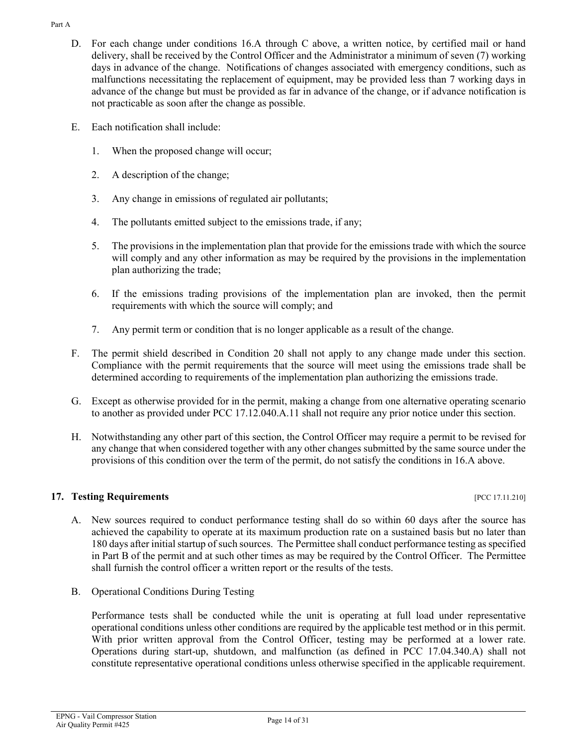- Part A
	- D. For each change under conditions 16.A through C above, a written notice, by certified mail or hand delivery, shall be received by the Control Officer and the Administrator a minimum of seven (7) working days in advance of the change. Notifications of changes associated with emergency conditions, such as malfunctions necessitating the replacement of equipment, may be provided less than 7 working days in advance of the change but must be provided as far in advance of the change, or if advance notification is not practicable as soon after the change as possible.
	- E. Each notification shall include:
		- 1. When the proposed change will occur;
		- 2. A description of the change;
		- 3. Any change in emissions of regulated air pollutants;
		- 4. The pollutants emitted subject to the emissions trade, if any;
		- 5. The provisions in the implementation plan that provide for the emissions trade with which the source will comply and any other information as may be required by the provisions in the implementation plan authorizing the trade;
		- 6. If the emissions trading provisions of the implementation plan are invoked, then the permit requirements with which the source will comply; and
		- 7. Any permit term or condition that is no longer applicable as a result of the change.
	- F. The permit shield described in Condition 20 shall not apply to any change made under this section. Compliance with the permit requirements that the source will meet using the emissions trade shall be determined according to requirements of the implementation plan authorizing the emissions trade.
	- G. Except as otherwise provided for in the permit, making a change from one alternative operating scenario to another as provided under PCC 17.12.040.A.11 shall not require any prior notice under this section.
	- H. Notwithstanding any other part of this section, the Control Officer may require a permit to be revised for any change that when considered together with any other changes submitted by the same source under the provisions of this condition over the term of the permit, do not satisfy the conditions in 16.A above.

# **17. Testing Requirements** *PCC 17.11.210*

- A. New sources required to conduct performance testing shall do so within 60 days after the source has achieved the capability to operate at its maximum production rate on a sustained basis but no later than 180 days after initial startup of such sources. The Permittee shall conduct performance testing as specified in Part B of the permit and at such other times as may be required by the Control Officer. The Permittee shall furnish the control officer a written report or the results of the tests.
- B. Operational Conditions During Testing

Performance tests shall be conducted while the unit is operating at full load under representative operational conditions unless other conditions are required by the applicable test method or in this permit. With prior written approval from the Control Officer, testing may be performed at a lower rate. Operations during start-up, shutdown, and malfunction (as defined in PCC 17.04.340.A) shall not constitute representative operational conditions unless otherwise specified in the applicable requirement.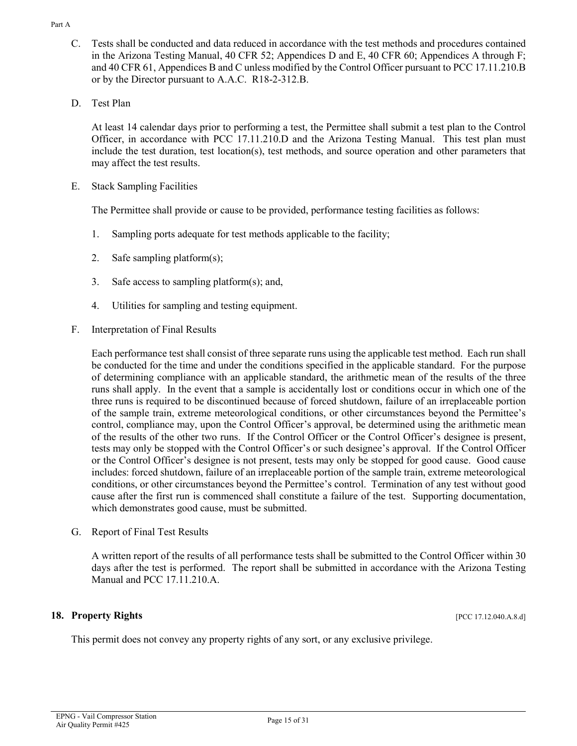- EPNG Vail Compressor Station EFING - Van Compressor Station<br>Air Quality Permit #425
	-

Part A

- C. Tests shall be conducted and data reduced in accordance with the test methods and procedures contained in the Arizona Testing Manual, 40 CFR 52; Appendices D and E, 40 CFR 60; Appendices A through F; and 40 CFR 61, Appendices B and C unless modified by the Control Officer pursuant to PCC 17.11.210.B or by the Director pursuant to A.A.C. R18-2-312.B.
- D. Test Plan

At least 14 calendar days prior to performing a test, the Permittee shall submit a test plan to the Control Officer, in accordance with PCC 17.11.210.D and the Arizona Testing Manual. This test plan must include the test duration, test location(s), test methods, and source operation and other parameters that may affect the test results.

E. Stack Sampling Facilities

The Permittee shall provide or cause to be provided, performance testing facilities as follows:

- 1. Sampling ports adequate for test methods applicable to the facility;
- 2. Safe sampling platform(s);
- 3. Safe access to sampling platform(s); and,
- 4. Utilities for sampling and testing equipment.
- F. Interpretation of Final Results

Each performance test shall consist of three separate runs using the applicable test method. Each run shall be conducted for the time and under the conditions specified in the applicable standard. For the purpose of determining compliance with an applicable standard, the arithmetic mean of the results of the three runs shall apply. In the event that a sample is accidentally lost or conditions occur in which one of the three runs is required to be discontinued because of forced shutdown, failure of an irreplaceable portion of the sample train, extreme meteorological conditions, or other circumstances beyond the Permittee's control, compliance may, upon the Control Officer's approval, be determined using the arithmetic mean of the results of the other two runs. If the Control Officer or the Control Officer's designee is present, tests may only be stopped with the Control Officer's or such designee's approval. If the Control Officer or the Control Officer's designee is not present, tests may only be stopped for good cause. Good cause includes: forced shutdown, failure of an irreplaceable portion of the sample train, extreme meteorological conditions, or other circumstances beyond the Permittee's control. Termination of any test without good cause after the first run is commenced shall constitute a failure of the test. Supporting documentation, which demonstrates good cause, must be submitted.

G. Report of Final Test Results

A written report of the results of all performance tests shall be submitted to the Control Officer within 30 days after the test is performed. The report shall be submitted in accordance with the Arizona Testing Manual and PCC 17.11.210.A.

### **18. Property Rights** [PCC 17.12.040.A.8.d]

This permit does not convey any property rights of any sort, or any exclusive privilege.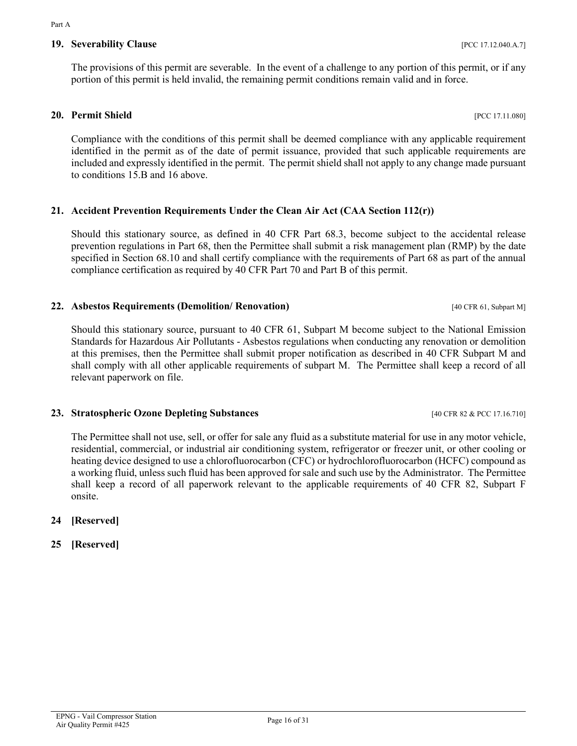# **20. Permit Shield** [PCC 17.11.080]

Compliance with the conditions of this permit shall be deemed compliance with any applicable requirement identified in the permit as of the date of permit issuance, provided that such applicable requirements are included and expressly identified in the permit. The permit shield shall not apply to any change made pursuant to conditions 15.B and 16 above.

The provisions of this permit are severable. In the event of a challenge to any portion of this permit, or if any

portion of this permit is held invalid, the remaining permit conditions remain valid and in force.

# **21. Accident Prevention Requirements Under the Clean Air Act (CAA Section 112(r))**

Should this stationary source, as defined in 40 CFR Part 68.3, become subject to the accidental release prevention regulations in Part 68, then the Permittee shall submit a risk management plan (RMP) by the date specified in Section 68.10 and shall certify compliance with the requirements of Part 68 as part of the annual compliance certification as required by 40 CFR Part 70 and Part B of this permit.

# **22. Asbestos Requirements (Demolition/ Renovation)** [40 CFR 61, Subpart M]

Should this stationary source, pursuant to 40 CFR 61, Subpart M become subject to the National Emission Standards for Hazardous Air Pollutants - Asbestos regulations when conducting any renovation or demolition at this premises, then the Permittee shall submit proper notification as described in 40 CFR Subpart M and shall comply with all other applicable requirements of subpart M. The Permittee shall keep a record of all relevant paperwork on file.

# **23. Stratospheric Ozone Depleting Substances** [40 CFR 82 & PCC 17.16.710]

The Permittee shall not use, sell, or offer for sale any fluid as a substitute material for use in any motor vehicle, residential, commercial, or industrial air conditioning system, refrigerator or freezer unit, or other cooling or heating device designed to use a chlorofluorocarbon (CFC) or hydrochlorofluorocarbon (HCFC) compound as a working fluid, unless such fluid has been approved for sale and such use by the Administrator. The Permittee shall keep a record of all paperwork relevant to the applicable requirements of 40 CFR 82, Subpart F onsite.

# **24 [Reserved]**

# **25 [Reserved]**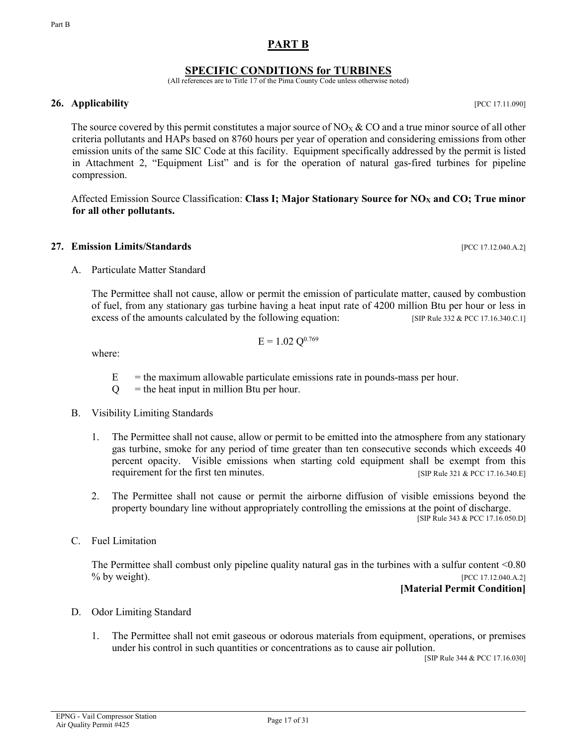## **PART B**

### **SPECIFIC CONDITIONS for TURBINES**

(All references are to Title 17 of the Pima County Code unless otherwise noted)

#### <span id="page-16-0"></span>**26. Applicability** [PCC 17.11.090]

The source covered by this permit constitutes a major source of NO<sub>X</sub> & CO and a true minor source of all other criteria pollutants and HAPs based on 8760 hours per year of operation and considering emissions from other emission units of the same SIC Code at this facility. Equipment specifically addressed by the permit is listed in Attachment 2, "Equipment List" and is for the operation of natural gas-fired turbines for pipeline compression.

Affected Emission Source Classification: **Class I; Major Stationary Source for NO<sub>X</sub> and CO; True minor for all other pollutants.**

#### **27. Emission Limits/Standards** [PCC 17.12.040.A.2]

A. Particulate Matter Standard

The Permittee shall not cause, allow or permit the emission of particulate matter, caused by combustion of fuel, from any stationary gas turbine having a heat input rate of 4200 million Btu per hour or less in excess of the amounts calculated by the following equation: [SIP Rule 332 & PCC 17.16.340.C.1]

$$
E = 1.02 \ Q^{0.769}
$$

where:

- $E =$  the maximum allowable particulate emissions rate in pounds-mass per hour.
- $Q =$  the heat input in million Btu per hour.
- B. Visibility Limiting Standards
	- 1. The Permittee shall not cause, allow or permit to be emitted into the atmosphere from any stationary gas turbine, smoke for any period of time greater than ten consecutive seconds which exceeds 40 percent opacity. Visible emissions when starting cold equipment shall be exempt from this requirement for the first ten minutes. [SIP Rule 321 & PCC 17.16.340.E]
	- 2. The Permittee shall not cause or permit the airborne diffusion of visible emissions beyond the property boundary line without appropriately controlling the emissions at the point of discharge.

[SIP Rule 343 & PCC 17.16.050.D]

C. Fuel Limitation

The Permittee shall combust only pipeline quality natural gas in the turbines with a sulfur content <0.80 % by weight). [PCC 17.12.040.A.2]

#### **[Material Permit Condition]**

- D. Odor Limiting Standard
	- 1. The Permittee shall not emit gaseous or odorous materials from equipment, operations, or premises under his control in such quantities or concentrations as to cause air pollution.

[SIP Rule 344 & PCC 17.16.030]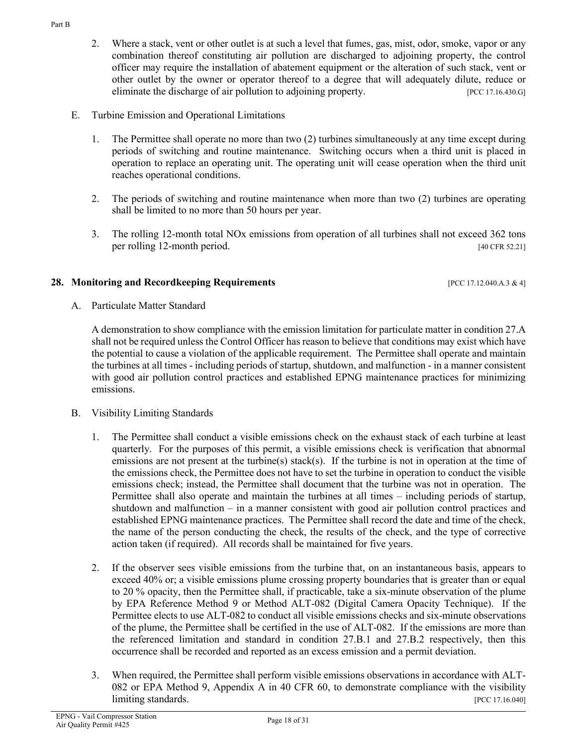- 2. Where a stack, vent or other outlet is at such a level that fumes, gas, mist, odor, smoke, vapor or any combination thereof constituting air pollution are discharged to adjoining property, the control officer may require the installation of abatement equipment or the alteration of such stack, vent or other outlet by the owner or operator thereof to a degree that will adequately dilute, reduce or eliminate the discharge of air pollution to adjoining property. [PCC 17.16.430.G]
- E. Turbine Emission and Operational Limitations
	- 1. The Permittee shall operate no more than two (2) turbines simultaneously at any time except during periods of switching and routine maintenance. Switching occurs when a third unit is placed in operation to replace an operating unit. The operating unit will cease operation when the third unit reaches operational conditions.
	- 2. The periods of switching and routine maintenance when more than two (2) turbines are operating shall be limited to no more than 50 hours per year.
	- 3. The rolling 12-month total NOx emissions from operation of all turbines shall not exceed 362 tons per rolling 12-month period. [40 CFR 52.21]

#### **28. Monitoring and Recordkeeping Requirements** [PCC 17.12.040.A.3 & 4]

A. Particulate Matter Standard

A demonstration to show compliance with the emission limitation for particulate matter in condition 27.A shall not be required unless the Control Officer has reason to believe that conditions may exist which have the potential to cause a violation of the applicable requirement. The Permittee shall operate and maintain the turbines at all times - including periods of startup, shutdown, and malfunction - in a manner consistent with good air pollution control practices and established EPNG maintenance practices for minimizing emissions.

- B. Visibility Limiting Standards
	- 1. The Permittee shall conduct a visible emissions check on the exhaust stack of each turbine at least quarterly. For the purposes of this permit, a visible emissions check is verification that abnormal emissions are not present at the turbine(s) stack(s). If the turbine is not in operation at the time of the emissions check, the Permittee does not have to set the turbine in operation to conduct the visible emissions check; instead, the Permittee shall document that the turbine was not in operation. The Permittee shall also operate and maintain the turbines at all times – including periods of startup, shutdown and malfunction – in a manner consistent with good air pollution control practices and established EPNG maintenance practices. The Permittee shall record the date and time of the check, the name of the person conducting the check, the results of the check, and the type of corrective action taken (if required). All records shall be maintained for five years.
	- 2. If the observer sees visible emissions from the turbine that, on an instantaneous basis, appears to exceed 40% or; a visible emissions plume crossing property boundaries that is greater than or equal to 20 % opacity, then the Permittee shall, if practicable, take a six-minute observation of the plume by EPA Reference Method 9 or Method ALT-082 (Digital Camera Opacity Technique). If the Permittee elects to use ALT-082 to conduct all visible emissions checks and six-minute observations of the plume, the Permittee shall be certified in the use of ALT-082. If the emissions are more than the referenced limitation and standard in condition 27.B.1 and 27.B.2 respectively, then this occurrence shall be recorded and reported as an excess emission and a permit deviation.
	- 3. When required, the Permittee shall perform visible emissions observations in accordance with ALT-082 or EPA Method 9, Appendix A in 40 CFR 60, to demonstrate compliance with the visibility limiting standards. [PCC 17.16.040]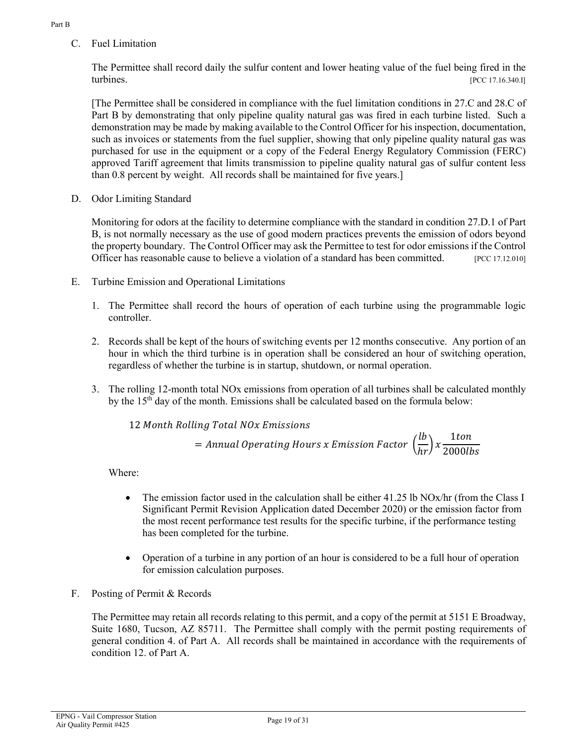C. Fuel Limitation

The Permittee shall record daily the sulfur content and lower heating value of the fuel being fired in the turbines. [PCC 17.16.340.I]

[The Permittee shall be considered in compliance with the fuel limitation conditions in 27.C and 28.C of Part B by demonstrating that only pipeline quality natural gas was fired in each turbine listed. Such a demonstration may be made by making available to the Control Officer for his inspection, documentation, such as invoices or statements from the fuel supplier, showing that only pipeline quality natural gas was purchased for use in the equipment or a copy of the Federal Energy Regulatory Commission (FERC) approved Tariff agreement that limits transmission to pipeline quality natural gas of sulfur content less than 0.8 percent by weight. All records shall be maintained for five years.]

D. Odor Limiting Standard

Monitoring for odors at the facility to determine compliance with the standard in condition 27.D.1 of Part B, is not normally necessary as the use of good modern practices prevents the emission of odors beyond the property boundary. The Control Officer may ask the Permittee to test for odor emissions if the Control Officer has reasonable cause to believe a violation of a standard has been committed. [PCC 17.12.010]

- E. Turbine Emission and Operational Limitations
	- 1. The Permittee shall record the hours of operation of each turbine using the programmable logic controller.
	- 2. Records shall be kept of the hours of switching events per 12 months consecutive. Any portion of an hour in which the third turbine is in operation shall be considered an hour of switching operation, regardless of whether the turbine is in startup, shutdown, or normal operation.
	- 3. The rolling 12-month total NOx emissions from operation of all turbines shall be calculated monthly by the 15th day of the month. Emissions shall be calculated based on the formula below:

12 *Month Rolling Total NOx Emissions*  
= Annual Operating Hours x Emission Factor 
$$
\left(\frac{lb}{hr}\right) x \frac{1ton}{2000lb}
$$

Where:

- The emission factor used in the calculation shall be either 41.25 lb NOx/hr (from the Class I Significant Permit Revision Application dated December 2020) or the emission factor from the most recent performance test results for the specific turbine, if the performance testing has been completed for the turbine.
- Operation of a turbine in any portion of an hour is considered to be a full hour of operation for emission calculation purposes.
- F. Posting of Permit & Records

The Permittee may retain all records relating to this permit, and a copy of the permit at 5151 E Broadway, Suite 1680, Tucson, AZ 85711. The Permittee shall comply with the permit posting requirements of general condition 4. of Part A. All records shall be maintained in accordance with the requirements of condition 12. of Part A.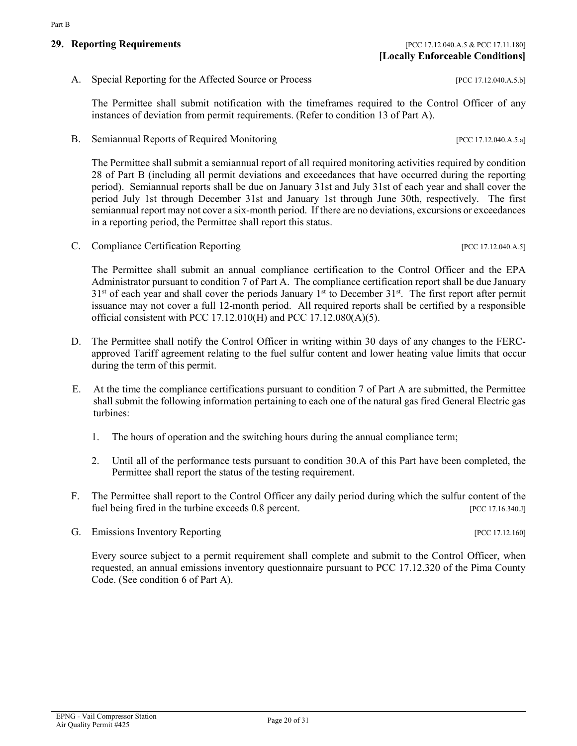A. Special Reporting for the Affected Source or Process [PCC 17.12.040.A.5.b]

The Permittee shall submit notification with the timeframes required to the Control Officer of any instances of deviation from permit requirements. (Refer to condition 13 of Part A).

B. Semiannual Reports of Required Monitoring [PCC 17.12.040.A.5.a]

The Permittee shall submit a semiannual report of all required monitoring activities required by condition 28 of Part B (including all permit deviations and exceedances that have occurred during the reporting period). Semiannual reports shall be due on January 31st and July 31st of each year and shall cover the period July 1st through December 31st and January 1st through June 30th, respectively. The first semiannual report may not cover a six-month period. If there are no deviations, excursions or exceedances in a reporting period, the Permittee shall report this status.

C. Compliance Certification Reporting [PCC 17.12.040.A.5]

The Permittee shall submit an annual compliance certification to the Control Officer and the EPA Administrator pursuant to condition 7 of Part A. The compliance certification report shall be due January  $31<sup>st</sup>$  of each year and shall cover the periods January  $1<sup>st</sup>$  to December  $31<sup>st</sup>$ . The first report after permit issuance may not cover a full 12-month period. All required reports shall be certified by a responsible official consistent with PCC 17.12.010(H) and PCC 17.12.080(A)(5).

- D. The Permittee shall notify the Control Officer in writing within 30 days of any changes to the FERCapproved Tariff agreement relating to the fuel sulfur content and lower heating value limits that occur during the term of this permit.
- E. At the time the compliance certifications pursuant to condition 7 of Part A are submitted, the Permittee shall submit the following information pertaining to each one of the natural gas fired General Electric gas turbines:
	- 1. The hours of operation and the switching hours during the annual compliance term;
	- 2. Until all of the performance tests pursuant to condition 30.A of this Part have been completed, the Permittee shall report the status of the testing requirement.
- F. The Permittee shall report to the Control Officer any daily period during which the sulfur content of the fuel being fired in the turbine exceeds 0.8 percent. [PCC 17.16.340.J]
- G. Emissions Inventory Reporting  $[PC 17.12.160]$

Every source subject to a permit requirement shall complete and submit to the Control Officer, when requested, an annual emissions inventory questionnaire pursuant to PCC 17.12.320 of the Pima County Code. (See condition 6 of Part A).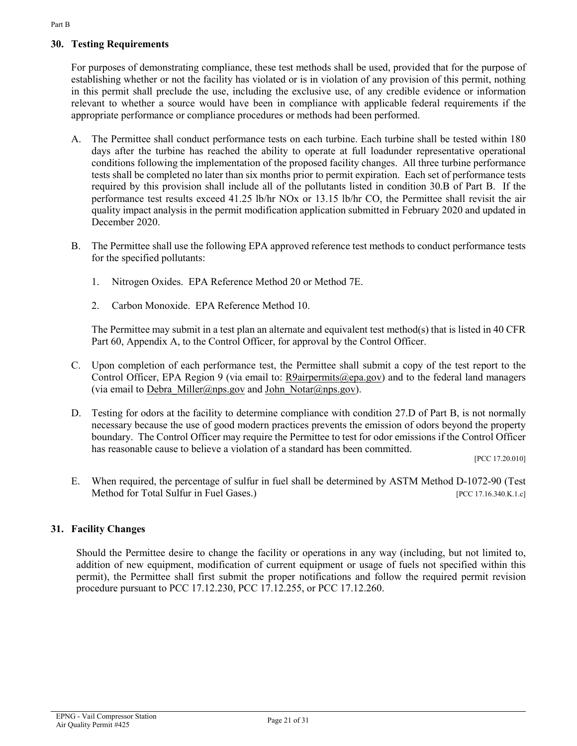# **30. Testing Requirements**

For purposes of demonstrating compliance, these test methods shall be used, provided that for the purpose of establishing whether or not the facility has violated or is in violation of any provision of this permit, nothing in this permit shall preclude the use, including the exclusive use, of any credible evidence or information relevant to whether a source would have been in compliance with applicable federal requirements if the appropriate performance or compliance procedures or methods had been performed.

- A. The Permittee shall conduct performance tests on each turbine. Each turbine shall be tested within 180 days after the turbine has reached the ability to operate at full loadunder representative operational conditions following the implementation of the proposed facility changes. All three turbine performance tests shall be completed no later than six months prior to permit expiration. Each set of performance tests required by this provision shall include all of the pollutants listed in condition 30.B of Part B. If the performance test results exceed 41.25 lb/hr NOx or 13.15 lb/hr CO, the Permittee shall revisit the air quality impact analysis in the permit modification application submitted in February 2020 and updated in December 2020.
- B. The Permittee shall use the following EPA approved reference test methods to conduct performance tests for the specified pollutants:
	- 1. Nitrogen Oxides. EPA Reference Method 20 or Method 7E.
	- 2. Carbon Monoxide. EPA Reference Method 10.

The Permittee may submit in a test plan an alternate and equivalent test method(s) that is listed in 40 CFR Part 60, Appendix A, to the Control Officer, for approval by the Control Officer.

- C. Upon completion of each performance test, the Permittee shall submit a copy of the test report to the Control Officer, EPA Region 9 (via email to: [R9airpermits@epa.gov\)](mailto:R9airpermits@epa.gov) and to the federal land managers (via email to [Debra\\_Miller@nps.gov](mailto:Debra_Miller@nps.gov) and [John\\_Notar@nps.gov\)](mailto:John_Notar@nps.gov).
- D. Testing for odors at the facility to determine compliance with condition 27.D of Part B, is not normally necessary because the use of good modern practices prevents the emission of odors beyond the property boundary. The Control Officer may require the Permittee to test for odor emissions if the Control Officer has reasonable cause to believe a violation of a standard has been committed.

[PCC 17.20.010]

E. When required, the percentage of sulfur in fuel shall be determined by ASTM Method D-1072-90 (Test Method for Total Sulfur in Fuel Gases.) [PCC 17.16.340.K.1.c]

### **31. Facility Changes**

Should the Permittee desire to change the facility or operations in any way (including, but not limited to, addition of new equipment, modification of current equipment or usage of fuels not specified within this permit), the Permittee shall first submit the proper notifications and follow the required permit revision procedure pursuant to PCC 17.12.230, PCC 17.12.255, or PCC 17.12.260.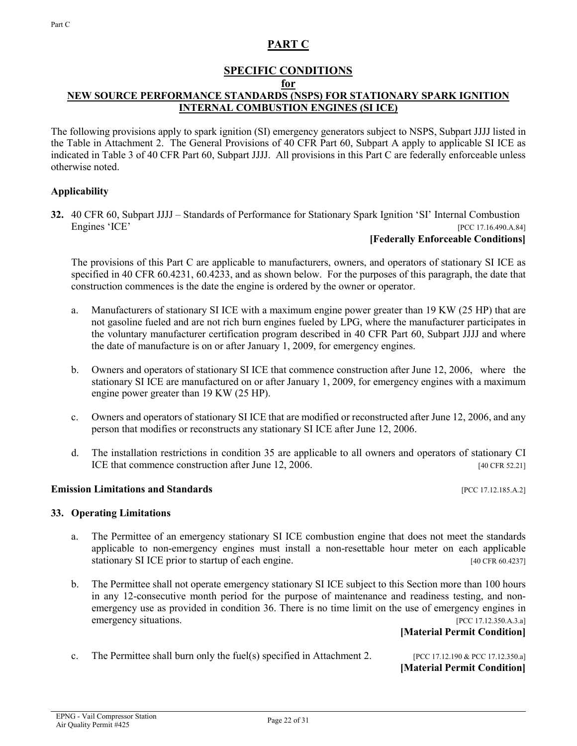# **PART C**

# **SPECIFIC CONDITIONS**

#### **for**

# <span id="page-21-0"></span>**NEW SOURCE PERFORMANCE STANDARDS (NSPS) FOR STATIONARY SPARK IGNITION INTERNAL COMBUSTION ENGINES (SI ICE)**

The following provisions apply to spark ignition (SI) emergency generators subject to NSPS, Subpart JJJJ listed in the Table in Attachment 2. The General Provisions of 40 CFR Part 60, Subpart A apply to applicable SI ICE as indicated in Table 3 of 40 CFR Part 60, Subpart JJJJ. All provisions in this Part C are federally enforceable unless otherwise noted.

### **Applicability**

**32.** 40 CFR 60, Subpart JJJJ – Standards of Performance for Stationary Spark Ignition 'SI' Internal Combustion Engines 'ICE' [PCC 17.16.490.A.84]

#### **[Federally Enforceable Conditions]**

The provisions of this Part C are applicable to manufacturers, owners, and operators of stationary SI ICE as specified in 40 CFR 60.4231, 60.4233, and as shown below. For the purposes of this paragraph, the date that construction commences is the date the engine is ordered by the owner or operator.

- a. Manufacturers of stationary SI ICE with a maximum engine power greater than 19 KW (25 HP) that are not gasoline fueled and are not rich burn engines fueled by LPG, where the manufacturer participates in the voluntary manufacturer certification program described in 40 CFR Part 60, Subpart JJJJ and where the date of manufacture is on or after January 1, 2009, for emergency engines.
- b. Owners and operators of stationary SI ICE that commence construction after June 12, 2006, where the stationary SI ICE are manufactured on or after January 1, 2009, for emergency engines with a maximum engine power greater than 19 KW (25 HP).
- c. Owners and operators of stationary SI ICE that are modified or reconstructed after June 12, 2006, and any person that modifies or reconstructs any stationary SI ICE after June 12, 2006.
- d. The installation restrictions in condition 35 are applicable to all owners and operators of stationary CI ICE that commence construction after June 12, 2006. [40 CFR 52.21]

#### **Emission Limitations and Standards Emission Limitations and Standards Exercífications (PCC 17.12.185.A.2]**

**33. Operating Limitations**

- a. The Permittee of an emergency stationary SI ICE combustion engine that does not meet the standards applicable to non-emergency engines must install a non-resettable hour meter on each applicable stationary SI ICE prior to startup of each engine. [40 CFR 60.4237]
- b. The Permittee shall not operate emergency stationary SI ICE subject to this Section more than 100 hours in any 12-consecutive month period for the purpose of maintenance and readiness testing, and nonemergency use as provided in condition 36. There is no time limit on the use of emergency engines in emergency situations. [PCC 17.12.350.A.3.a]

#### **[Material Permit Condition]**

c. The Permittee shall burn only the fuel(s) specified in Attachment 2. [PCC 17.12.190 & PCC 17.12.350.a]

**[Material Permit Condition]**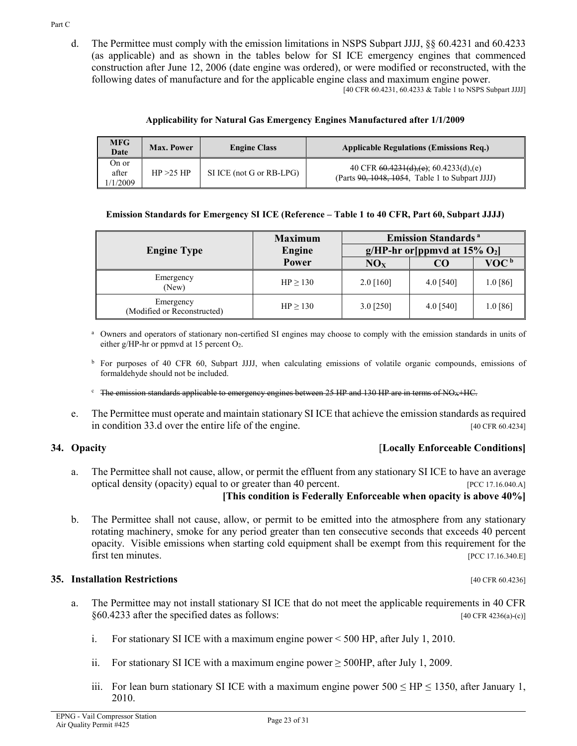construction after June 12, 2006 (date engine was ordered), or were modified or reconstructed, with the following dates of manufacture and for the applicable engine class and maximum engine power. [40 CFR 60.4231, 60.4233 & Table 1 to NSPS Subpart JJJJ]

| Applicability for Natural Gas Emergency Engines Manufactured after 1/1/2009 |  |
|-----------------------------------------------------------------------------|--|
|-----------------------------------------------------------------------------|--|

d. The Permittee must comply with the emission limitations in NSPS Subpart JJJJ, §§ 60.4231 and 60.4233 (as applicable) and as shown in the tables below for SI ICE emergency engines that commenced

| <b>MFG</b><br>Date         | Max. Power | <b>Engine Class</b>      | <b>Applicable Regulations (Emissions Req.)</b>                                                 |
|----------------------------|------------|--------------------------|------------------------------------------------------------------------------------------------|
| On or<br>after<br>(1/2009) | HP > 25 HP | SI ICE (not G or RB-LPG) | 40 CFR $60.4231(d),(e)$ ; 60.4233(d),(e)<br>(Parts $90, 1048, 1054$ , Table 1 to Subpart JJJJ) |

#### **Emission Standards for Emergency SI ICE (Reference – Table 1 to 40 CFR, Part 60, Subpart JJJJ)**

|                                          | <b>Maximum</b> | <b>Emission Standards</b> <sup>a</sup>       |             |                         |  |
|------------------------------------------|----------------|----------------------------------------------|-------------|-------------------------|--|
| <b>Engine Type</b>                       | Engine         | g/HP-hr or [ppmvd at $15\%$ O <sub>2</sub> ] |             |                         |  |
|                                          | Power          | NO <sub>x</sub>                              | CO          | <b>VOC</b> <sup>b</sup> |  |
| Emergency<br>(New)                       | $HP \ge 130$   | $2.0$ [160]                                  | $4.0$ [540] | $1.0\ [86]$             |  |
| Emergency<br>(Modified or Reconstructed) | $HP \ge 130$   | $3.0$ [250]                                  | 4.0 $[540]$ | $1.0\ [86]$             |  |

<sup>a</sup> Owners and operators of stationary non-certified SI engines may choose to comply with the emission standards in units of either g/HP-hr or ppmvd at 15 percent O2.

<sup>b</sup> For purposes of 40 CFR 60, Subpart JJJJ, when calculating emissions of volatile organic compounds, emissions of formaldehyde should not be included.

- $c$  The emission standards applicable to emergency engines between 25 HP and 130 HP are in terms of NO<sub>X</sub>+HC.
- e. The Permittee must operate and maintain stationary SI ICE that achieve the emission standards as required in condition 33.d over the entire life of the engine. [40 CFR 60.4234]

### **34. Opacity** [**Locally Enforceable Conditions]**

- a. The Permittee shall not cause, allow, or permit the effluent from any stationary SI ICE to have an average optical density (opacity) equal to or greater than 40 percent. [PCC 17.16.040.A] **[This condition is Federally Enforceable when opacity is above 40%]**
- b. The Permittee shall not cause, allow, or permit to be emitted into the atmosphere from any stationary rotating machinery, smoke for any period greater than ten consecutive seconds that exceeds 40 percent opacity. Visible emissions when starting cold equipment shall be exempt from this requirement for the first ten minutes. [PCC 17.16.340.E]

#### **35. Installation Restrictions** [40 CFR 60.4236]

- a. The Permittee may not install stationary SI ICE that do not meet the applicable requirements in 40 CFR  $§60.4233$  after the specified dates as follows: [40 CFR 4236(a)-(c)]
	- i. For stationary SI ICE with a maximum engine power < 500 HP, after July 1, 2010.
	- ii. For stationary SI ICE with a maximum engine power  $\geq$  500HP, after July 1, 2009.
	- iii. For lean burn stationary SI ICE with a maximum engine power  $500 \leq HP \leq 1350$ , after January 1, 2010.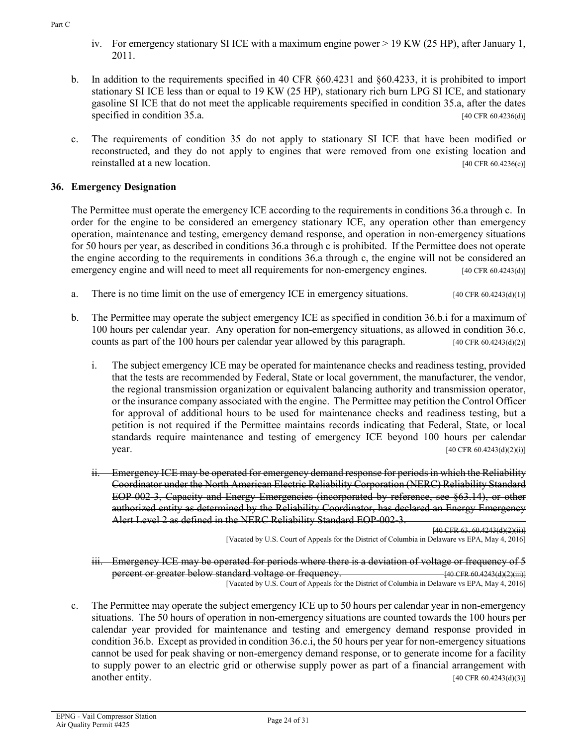- iv. For emergency stationary SI ICE with a maximum engine power > 19 KW (25 HP), after January 1, 2011.
- b. In addition to the requirements specified in 40 CFR §60.4231 and §60.4233, it is prohibited to import stationary SI ICE less than or equal to 19 KW (25 HP), stationary rich burn LPG SI ICE, and stationary gasoline SI ICE that do not meet the applicable requirements specified in condition 35.a, after the dates specified in condition 35.a. [40 CFR 60.4236(d)]
- c. The requirements of condition 35 do not apply to stationary SI ICE that have been modified or reconstructed, and they do not apply to engines that were removed from one existing location and reinstalled at a new location. [40 CFR 60.4236(e)]

# **36. Emergency Designation**

The Permittee must operate the emergency ICE according to the requirements in conditions 36.a through c. In order for the engine to be considered an emergency stationary ICE, any operation other than emergency operation, maintenance and testing, emergency demand response, and operation in non-emergency situations for 50 hours per year, as described in conditions 36.a through c is prohibited. If the Permittee does not operate the engine according to the requirements in conditions 36.a through c, the engine will not be considered an emergency engine and will need to meet all requirements for non-emergency engines. [40 CFR 60.4243(d)]

- a. There is no time limit on the use of emergency ICE in emergency situations. [40 CFR 60.4243(d)(1)]
- b. The Permittee may operate the subject emergency ICE as specified in condition 36.b.i for a maximum of 100 hours per calendar year. Any operation for non-emergency situations, as allowed in condition 36.c, counts as part of the 100 hours per calendar year allowed by this paragraph.  $[40 \text{ CFR } 60.4243 \text{ (d)}(2)]$ 
	- i. The subject emergency ICE may be operated for maintenance checks and readiness testing, provided that the tests are recommended by Federal, State or local government, the manufacturer, the vendor, the regional transmission organization or equivalent balancing authority and transmission operator, or the insurance company associated with the engine. The Permittee may petition the Control Officer for approval of additional hours to be used for maintenance checks and readiness testing, but a petition is not required if the Permittee maintains records indicating that Federal, State, or local standards require maintenance and testing of emergency ICE beyond 100 hours per calendar **year.** [40 CFR 60.4243(d)(2)(i)]
	- ii. Emergency ICE may be operated for emergency demand response for periods in which the Reliability Coordinator under the North American Electric Reliability Corporation (NERC) Reliability Standard EOP-002-3, Capacity and Energy Emergencies (incorporated by reference, see §63.14), or other authorized entity as determined by the Reliability Coordinator, has declared an Energy Emergency Alert Level 2 as defined in the NERC Reliability Standard EOP-002-3.

[40 CFR 63. 60.4243(d)(2)(ii)]

[Vacated by U.S. Court of Appeals for the District of Columbia in Delaware vs EPA, May 4, 2016]

iii. Emergency ICE may be operated for periods where there is a deviation of voltage or frequency of 5 percent or greater below standard voltage or frequency. **[40]**  $\frac{1}{40}$  CFR 60.4243(d)(2)(iii)] [Vacated by U.S. Court of Appeals for the District of Columbia in Delaware vs EPA, May 4, 2016]

c. The Permittee may operate the subject emergency ICE up to 50 hours per calendar year in non-emergency situations. The 50 hours of operation in non-emergency situations are counted towards the 100 hours per calendar year provided for maintenance and testing and emergency demand response provided in condition 36.b. Except as provided in condition 36.c.i, the 50 hours per year for non-emergency situations cannot be used for peak shaving or non-emergency demand response, or to generate income for a facility to supply power to an electric grid or otherwise supply power as part of a financial arrangement with another entity. [40 CFR 60.4243(d)(3)]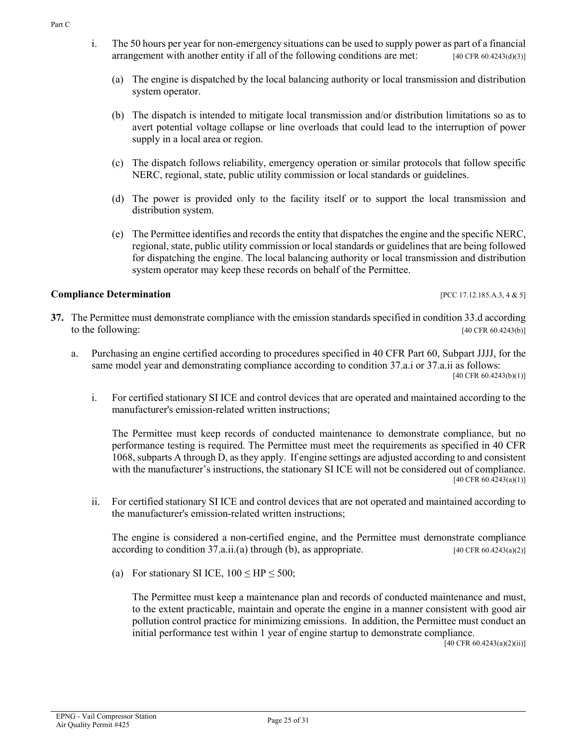- i. The 50 hours per year for non-emergency situations can be used to supply power as part of a financial arrangement with another entity if all of the following conditions are met: [40 CFR 60.4243(d)(3)]
	- (a) The engine is dispatched by the local balancing authority or local transmission and distribution system operator.
	- (b) The dispatch is intended to mitigate local transmission and/or distribution limitations so as to avert potential voltage collapse or line overloads that could lead to the interruption of power supply in a local area or region.
	- (c) The dispatch follows reliability, emergency operation or similar protocols that follow specific NERC, regional, state, public utility commission or local standards or guidelines.
	- (d) The power is provided only to the facility itself or to support the local transmission and distribution system.
	- (e) The Permittee identifies and records the entity that dispatches the engine and the specific NERC, regional, state, public utility commission or local standards or guidelines that are being followed for dispatching the engine. The local balancing authority or local transmission and distribution system operator may keep these records on behalf of the Permittee.

### **Compliance Determination** [PCC 17.12.185.A.3, 4 & 5]

- **37.** The Permittee must demonstrate compliance with the emission standards specified in condition 33.d according to the following:  $[40 \text{ CFR } 60.4243(b)]$ 
	- a. Purchasing an engine certified according to procedures specified in 40 CFR Part 60, Subpart JJJJ, for the same model year and demonstrating compliance according to condition 37.a.i or 37.a.ii as follows: [40 CFR 60.4243(b)(1)]
		- i. For certified stationary SI ICE and control devices that are operated and maintained according to the manufacturer's emission-related written instructions;

The Permittee must keep records of conducted maintenance to demonstrate compliance, but no performance testing is required. The Permittee must meet the requirements as specified in 40 CFR 1068, subparts A through D, as they apply. If engine settings are adjusted according to and consistent with the manufacturer's instructions, the stationary SI ICE will not be considered out of compliance.  $[40 \text{ CFR } 60.\overline{4}243(a)(1)]$ 

ii. For certified stationary SI ICE and control devices that are not operated and maintained according to the manufacturer's emission-related written instructions;

The engine is considered a non-certified engine, and the Permittee must demonstrate compliance according to condition  $37.\text{a.ii.}$  (a) through (b), as appropriate. [40 CFR 60.4243(a)(2)]

(a) For stationary SI ICE,  $100 \leq HP \leq 500$ ;

The Permittee must keep a maintenance plan and records of conducted maintenance and must, to the extent practicable, maintain and operate the engine in a manner consistent with good air pollution control practice for minimizing emissions. In addition, the Permittee must conduct an initial performance test within 1 year of engine startup to demonstrate compliance.

 $[40 \text{ CFR } 60.4243(a)(2)(ii)]$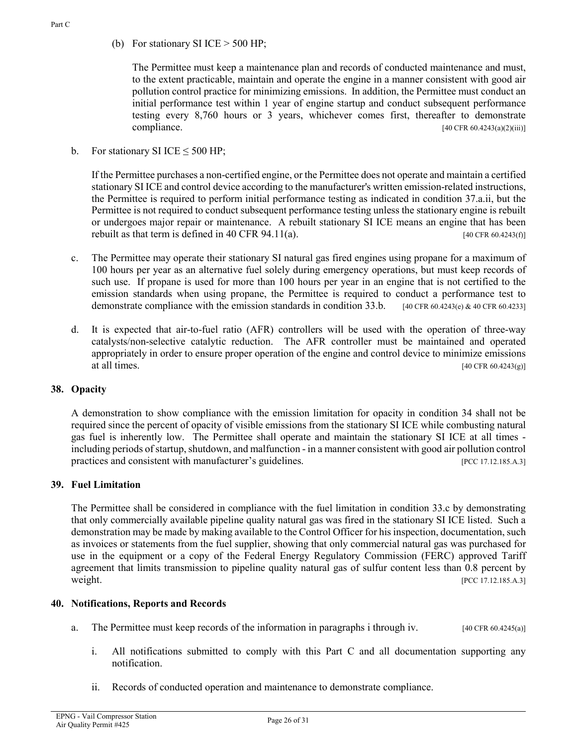(b) For stationary SI ICE  $>$  500 HP;

The Permittee must keep a maintenance plan and records of conducted maintenance and must, to the extent practicable, maintain and operate the engine in a manner consistent with good air pollution control practice for minimizing emissions. In addition, the Permittee must conduct an initial performance test within 1 year of engine startup and conduct subsequent performance testing every 8,760 hours or 3 years, whichever comes first, thereafter to demonstrate compliance.  $[40 \text{ CFR } 60.4243(a)(2)(iii)]$ 

b. For stationary SI ICE  $\leq$  500 HP;

If the Permittee purchases a non-certified engine, or the Permittee does not operate and maintain a certified stationary SI ICE and control device according to the manufacturer's written emission-related instructions, the Permittee is required to perform initial performance testing as indicated in condition 37.a.ii, but the Permittee is not required to conduct subsequent performance testing unless the stationary engine is rebuilt or undergoes major repair or maintenance. A rebuilt stationary SI ICE means an engine that has been rebuilt as that term is defined in 40 CFR 94.11(a).  $[40 \text{ CFR } 60.4243(1)]$ 

- c. The Permittee may operate their stationary SI natural gas fired engines using propane for a maximum of 100 hours per year as an alternative fuel solely during emergency operations, but must keep records of such use. If propane is used for more than 100 hours per year in an engine that is not certified to the emission standards when using propane, the Permittee is required to conduct a performance test to demonstrate compliance with the emission standards in condition 33.b. [40 CFR 60.4243(e) & 40 CFR 60.4233]
- d. It is expected that air-to-fuel ratio (AFR) controllers will be used with the operation of three-way catalysts/non-selective catalytic reduction. The AFR controller must be maintained and operated appropriately in order to ensure proper operation of the engine and control device to minimize emissions at all times.  $[40 \text{ CFR } 60.4243(\text{g})]$

# **38. Opacity**

A demonstration to show compliance with the emission limitation for opacity in condition 34 shall not be required since the percent of opacity of visible emissions from the stationary SI ICE while combusting natural gas fuel is inherently low. The Permittee shall operate and maintain the stationary SI ICE at all times including periods of startup, shutdown, and malfunction - in a manner consistent with good air pollution control practices and consistent with manufacturer's guidelines. [PCC 17.12.185.A.3]

# **39. Fuel Limitation**

The Permittee shall be considered in compliance with the fuel limitation in condition 33.c by demonstrating that only commercially available pipeline quality natural gas was fired in the stationary SI ICE listed. Such a demonstration may be made by making available to the Control Officer for his inspection, documentation, such as invoices or statements from the fuel supplier, showing that only commercial natural gas was purchased for use in the equipment or a copy of the Federal Energy Regulatory Commission (FERC) approved Tariff agreement that limits transmission to pipeline quality natural gas of sulfur content less than 0.8 percent by weight. [PCC 17.12.185.A.3]

### **40. Notifications, Reports and Records**

- a. The Permittee must keep records of the information in paragraphs i through iv. [40 CFR 60.4245(a)]
	- i. All notifications submitted to comply with this Part C and all documentation supporting any notification.
	- ii. Records of conducted operation and maintenance to demonstrate compliance.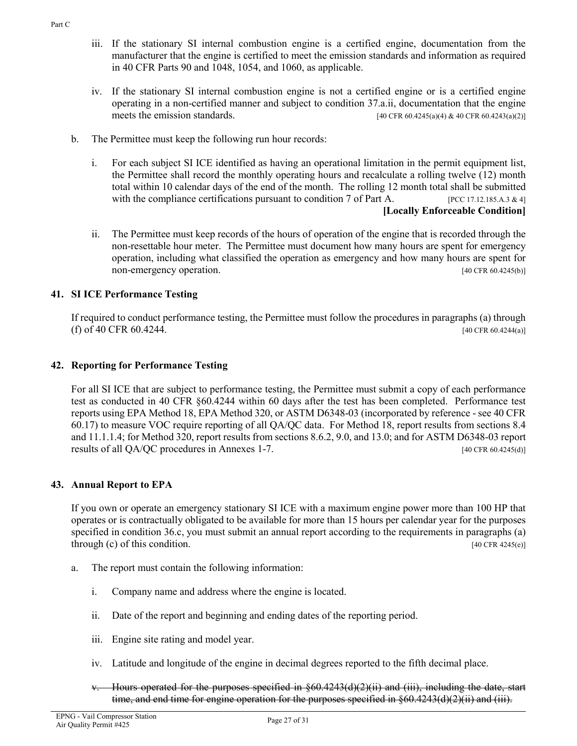- iii. If the stationary SI internal combustion engine is a certified engine, documentation from the manufacturer that the engine is certified to meet the emission standards and information as required in 40 CFR Parts 90 and 1048, 1054, and 1060, as applicable.
- iv. If the stationary SI internal combustion engine is not a certified engine or is a certified engine operating in a non-certified manner and subject to condition 37.a.ii, documentation that the engine meets the emission standards. [40 CFR 60.4245(a)(4) & 40 CFR 60.4243(a)(2)]
- b. The Permittee must keep the following run hour records:
	- i. For each subject SI ICE identified as having an operational limitation in the permit equipment list, the Permittee shall record the monthly operating hours and recalculate a rolling twelve (12) month total within 10 calendar days of the end of the month. The rolling 12 month total shall be submitted with the compliance certifications pursuant to condition 7 of Part A. [PCC 17.12.185.A.3 & 4] **[Locally Enforceable Condition]**
	- ii. The Permittee must keep records of the hours of operation of the engine that is recorded through the non-resettable hour meter. The Permittee must document how many hours are spent for emergency operation, including what classified the operation as emergency and how many hours are spent for non-emergency operation. [40 CFR 60.4245(b)]

# **41. SI ICE Performance Testing**

If required to conduct performance testing, the Permittee must follow the procedures in paragraphs (a) through (f) of 40 CFR 60.4244. [40 CFR 60.4244.]

### **42. Reporting for Performance Testing**

For all SI ICE that are subject to performance testing, the Permittee must submit a copy of each performance test as conducted in 40 CFR §60.4244 within 60 days after the test has been completed. Performance test reports using EPA Method 18, EPA Method 320, or ASTM D6348-03 (incorporated by reference - see 40 CFR 60.17) to measure VOC require reporting of all QA/QC data. For Method 18, report results from sections 8.4 and 11.1.1.4; for Method 320, report results from sections 8.6.2, 9.0, and 13.0; and for ASTM D6348-03 report results of all QA/QC procedures in Annexes 1-7. [40 CFR 60.4245(d)]

### **43. Annual Report to EPA**

If you own or operate an emergency stationary SI ICE with a maximum engine power more than 100 HP that operates or is contractually obligated to be available for more than 15 hours per calendar year for the purposes specified in condition 36.c, you must submit an annual report according to the requirements in paragraphs (a) through (c) of this condition.  $[40 \text{ CFR } 4245(e)]$ 

- a. The report must contain the following information:
	- i. Company name and address where the engine is located.
	- ii. Date of the report and beginning and ending dates of the reporting period.
	- iii. Engine site rating and model year.
	- iv. Latitude and longitude of the engine in decimal degrees reported to the fifth decimal place.
	- Hours operated for the purposes specified in  $\S60.4243(d)(2)(ii)$  and (iii), including the date, start time, and end time for engine operation for the purposes specified in  $\S60.4243(d)(2)(ii)$  and (iii).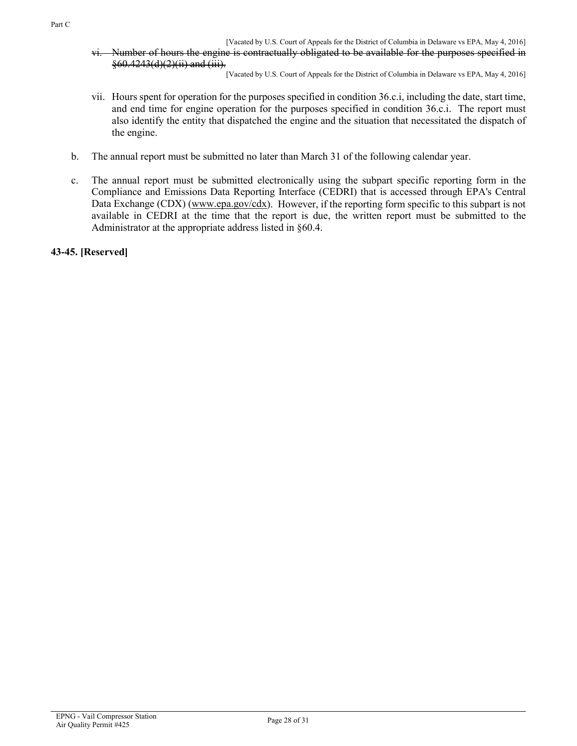[Vacated by U.S. Court of Appeals for the District of Columbia in Delaware vs EPA, May 4, 2016] vi. Number of hours the engine is contractually obligated to be available for the purposes specified in §60.4243(d)(2)(ii) and (iii).

[Vacated by U.S. Court of Appeals for the District of Columbia in Delaware vs EPA, May 4, 2016]

- vii. Hours spent for operation for the purposes specified in condition 36.c.i, including the date, start time, and end time for engine operation for the purposes specified in condition 36.c.i. The report must also identify the entity that dispatched the engine and the situation that necessitated the dispatch of the engine.
- b. The annual report must be submitted no later than March 31 of the following calendar year.
- c. The annual report must be submitted electronically using the subpart specific reporting form in the Compliance and Emissions Data Reporting Interface (CEDRI) that is accessed through EPA's Central Data Exchange (CDX) [\(www.epa.gov/cdx\)](http://www.epa.gov/cdx). However, if the reporting form specific to this subpart is not available in CEDRI at the time that the report is due, the written report must be submitted to the Administrator at the appropriate address listed in §60.4.

**43-45. [Reserved]**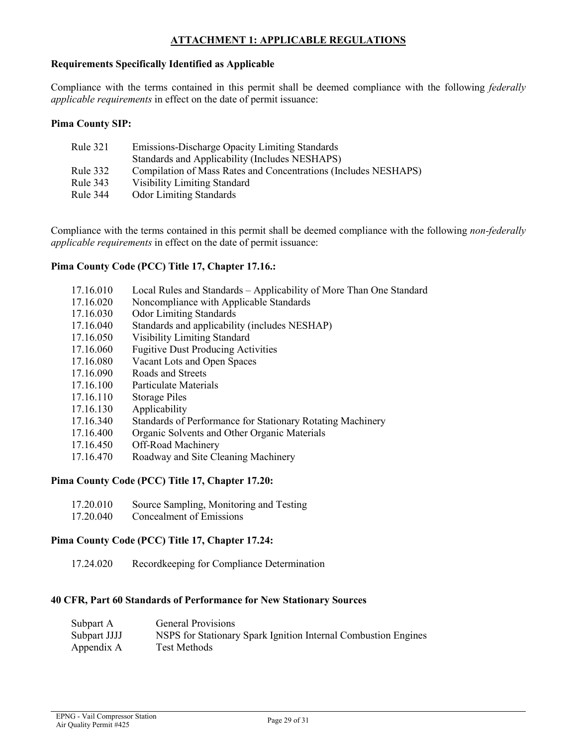### **ATTACHMENT 1: APPLICABLE REGULATIONS**

#### <span id="page-28-0"></span>**Requirements Specifically Identified as Applicable**

Compliance with the terms contained in this permit shall be deemed compliance with the following *federally applicable requirements* in effect on the date of permit issuance:

#### **Pima County SIP:**

| Rule 321 | Emissions-Discharge Opacity Limiting Standards                  |
|----------|-----------------------------------------------------------------|
|          | Standards and Applicability (Includes NESHAPS)                  |
| Rule 332 | Compilation of Mass Rates and Concentrations (Includes NESHAPS) |
| Rule 343 | <b>Visibility Limiting Standard</b>                             |
| Rule 344 | <b>Odor Limiting Standards</b>                                  |

Compliance with the terms contained in this permit shall be deemed compliance with the following *non-federally applicable requirements* in effect on the date of permit issuance:

#### **Pima County Code (PCC) Title 17, Chapter 17.16.:**

| 17.16.010 | Local Rules and Standards – Applicability of More Than One Standard |
|-----------|---------------------------------------------------------------------|
| 17.16.020 | Noncompliance with Applicable Standards                             |
| 17.16.030 | <b>Odor Limiting Standards</b>                                      |
| 17.16.040 | Standards and applicability (includes NESHAP)                       |

- 17.16.050 Visibility Limiting Standard
- 17.16.060 Fugitive Dust Producing Activities
- 17.16.080 Vacant Lots and Open Spaces
- 17.16.090 Roads and Streets
- 17.16.100 Particulate Materials
- 17.16.110 Storage Piles
- 17.16.130 Applicability
- 17.16.340 Standards of Performance for Stationary Rotating Machinery
- 17.16.400 Organic Solvents and Other Organic Materials
- 17.16.450 Off-Road Machinery
- 17.16.470 Roadway and Site Cleaning Machinery

#### **Pima County Code (PCC) Title 17, Chapter 17.20:**

- 17.20.010 Source Sampling, Monitoring and Testing
- 17.20.040 Concealment of Emissions

#### **Pima County Code (PCC) Title 17, Chapter 17.24:**

17.24.020 Recordkeeping for Compliance Determination

#### **40 CFR, Part 60 Standards of Performance for New Stationary Sources**

| Subpart A    | <b>General Provisions</b>                                      |
|--------------|----------------------------------------------------------------|
| Subpart JJJJ | NSPS for Stationary Spark Ignition Internal Combustion Engines |
| Appendix A   | Test Methods                                                   |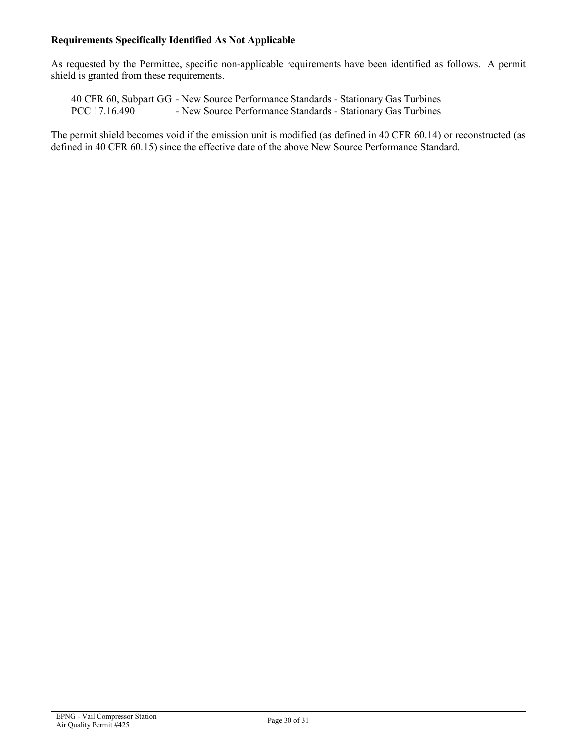#### **Requirements Specifically Identified As Not Applicable**

As requested by the Permittee, specific non-applicable requirements have been identified as follows. A permit shield is granted from these requirements.

40 CFR 60, Subpart GG - New Source Performance Standards - Stationary Gas Turbines - New Source Performance Standards - Stationary Gas Turbines

The permit shield becomes void if the emission unit is modified (as defined in 40 CFR 60.14) or reconstructed (as defined in 40 CFR 60.15) since the effective date of the above New Source Performance Standard.